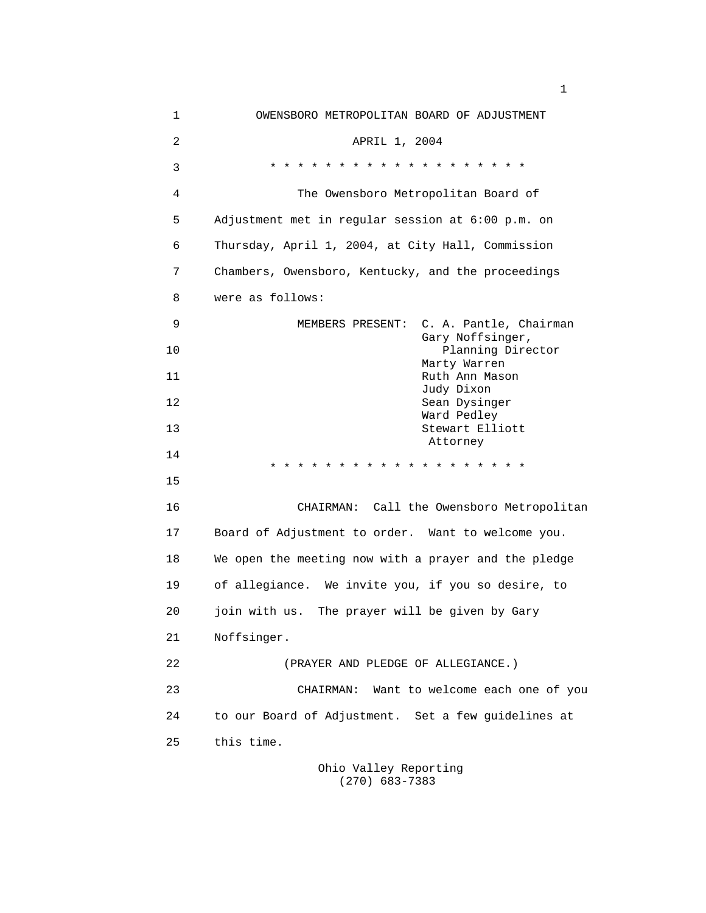| $\mathbf 1$    | OWENSBORO METROPOLITAN BOARD OF ADJUSTMENT           |
|----------------|------------------------------------------------------|
| $\overline{2}$ | APRIL 1, 2004                                        |
| 3              | * * * * * * * * * * * * * * * * * * *                |
| 4              | The Owensboro Metropolitan Board of                  |
| 5              | Adjustment met in regular session at 6:00 p.m. on    |
| 6              | Thursday, April 1, 2004, at City Hall, Commission    |
| 7              | Chambers, Owensboro, Kentucky, and the proceedings   |
| 8              | were as follows:                                     |
| 9              | C. A. Pantle, Chairman<br>MEMBERS PRESENT:           |
| 10             | Gary Noffsinger,<br>Planning Director                |
| 11             | Marty Warren<br>Ruth Ann Mason                       |
| 12             | Judy Dixon<br>Sean Dysinger                          |
| 13             | Ward Pedley<br>Stewart Elliott                       |
| 14             | Attorney<br>* * * * * * * * * *<br>$\star$           |
| 15             |                                                      |
| 16             | CHAIRMAN: Call the Owensboro Metropolitan            |
| 17             | Board of Adjustment to order. Want to welcome you.   |
| 18             | We open the meeting now with a prayer and the pledge |
| 19             | of allegiance. We invite you, if you so desire, to   |
| 20             | join with us. The prayer will be given by Gary       |
| 21             | Noffsinger.                                          |
| 22             | (PRAYER AND PLEDGE OF ALLEGIANCE.)                   |
| 23             | Want to welcome each one of you<br>CHAIRMAN:         |
| 24             | to our Board of Adjustment. Set a few guidelines at  |
| 25             | this time.                                           |
|                |                                                      |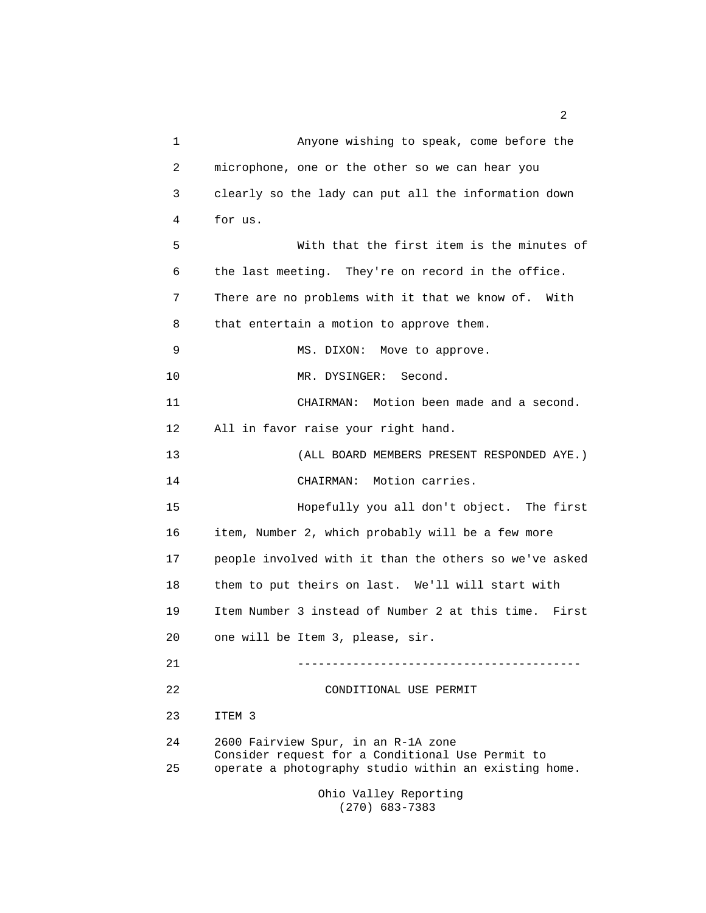1 Anyone wishing to speak, come before the 2 microphone, one or the other so we can hear you 3 clearly so the lady can put all the information down 4 for us. 5 With that the first item is the minutes of 6 the last meeting. They're on record in the office. 7 There are no problems with it that we know of. With 8 that entertain a motion to approve them. 9 MS. DIXON: Move to approve. 10 MR. DYSINGER: Second. 11 CHAIRMAN: Motion been made and a second. 12 All in favor raise your right hand. 13 (ALL BOARD MEMBERS PRESENT RESPONDED AYE.) 14 CHAIRMAN: Motion carries. 15 Hopefully you all don't object. The first 16 item, Number 2, which probably will be a few more 17 people involved with it than the others so we've asked 18 them to put theirs on last. We'll will start with 19 Item Number 3 instead of Number 2 at this time. First 20 one will be Item 3, please, sir. 21 ----------------------------------------- 22 CONDITIONAL USE PERMIT 23 ITEM 3 24 2600 Fairview Spur, in an R-1A zone Consider request for a Conditional Use Permit to 25 operate a photography studio within an existing home. Ohio Valley Reporting

(270) 683-7383

 $\overline{2}$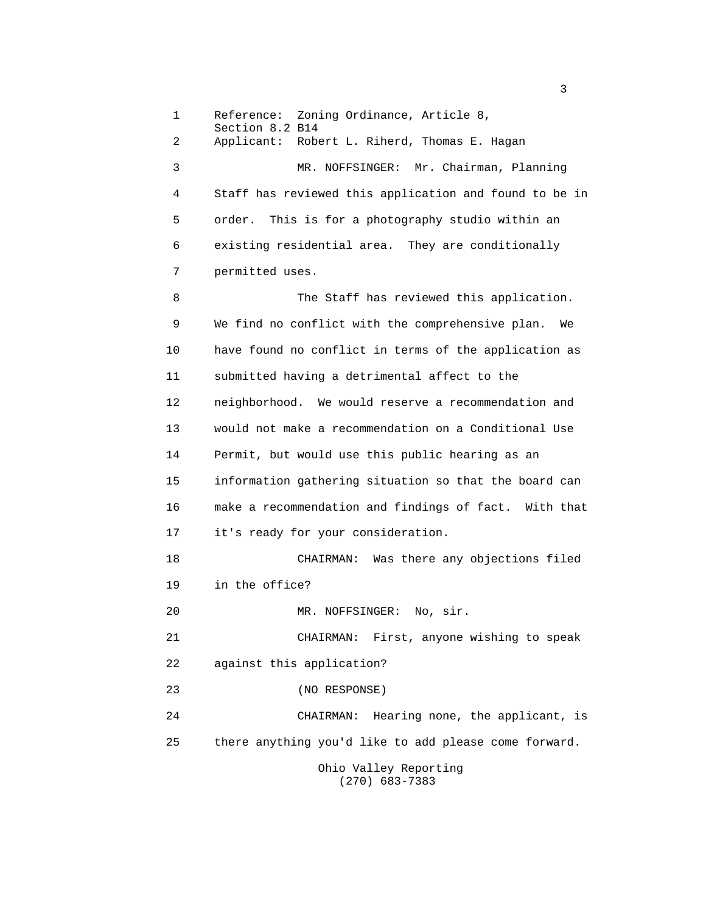1 Reference: Zoning Ordinance, Article 8, Section 8.2 B14 2 Applicant: Robert L. Riherd, Thomas E. Hagan 3 MR. NOFFSINGER: Mr. Chairman, Planning 4 Staff has reviewed this application and found to be in 5 order. This is for a photography studio within an 6 existing residential area. They are conditionally 7 permitted uses. 8 The Staff has reviewed this application. 9 We find no conflict with the comprehensive plan. We 10 have found no conflict in terms of the application as 11 submitted having a detrimental affect to the 12 neighborhood. We would reserve a recommendation and 13 would not make a recommendation on a Conditional Use 14 Permit, but would use this public hearing as an 15 information gathering situation so that the board can 16 make a recommendation and findings of fact. With that 17 it's ready for your consideration. 18 CHAIRMAN: Was there any objections filed 19 in the office? 20 MR. NOFFSINGER: No, sir. 21 CHAIRMAN: First, anyone wishing to speak 22 against this application? 23 (NO RESPONSE) 24 CHAIRMAN: Hearing none, the applicant, is 25 there anything you'd like to add please come forward. Ohio Valley Reporting (270) 683-7383

 $\sim$  3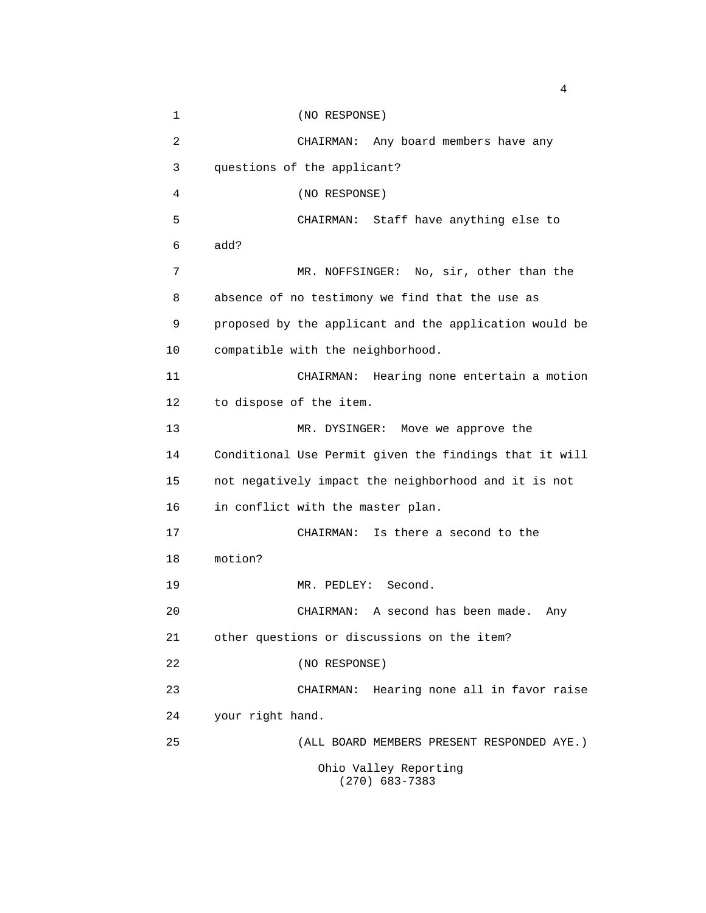1 (NO RESPONSE) 2 CHAIRMAN: Any board members have any 3 questions of the applicant? 4 (NO RESPONSE) 5 CHAIRMAN: Staff have anything else to 6 add? 7 MR. NOFFSINGER: No, sir, other than the 8 absence of no testimony we find that the use as 9 proposed by the applicant and the application would be 10 compatible with the neighborhood. 11 CHAIRMAN: Hearing none entertain a motion 12 to dispose of the item. 13 MR. DYSINGER: Move we approve the 14 Conditional Use Permit given the findings that it will 15 not negatively impact the neighborhood and it is not 16 in conflict with the master plan. 17 CHAIRMAN: Is there a second to the 18 motion? 19 MR. PEDLEY: Second. 20 CHAIRMAN: A second has been made. Any 21 other questions or discussions on the item? 22 (NO RESPONSE) 23 CHAIRMAN: Hearing none all in favor raise 24 your right hand. 25 (ALL BOARD MEMBERS PRESENT RESPONDED AYE.) Ohio Valley Reporting (270) 683-7383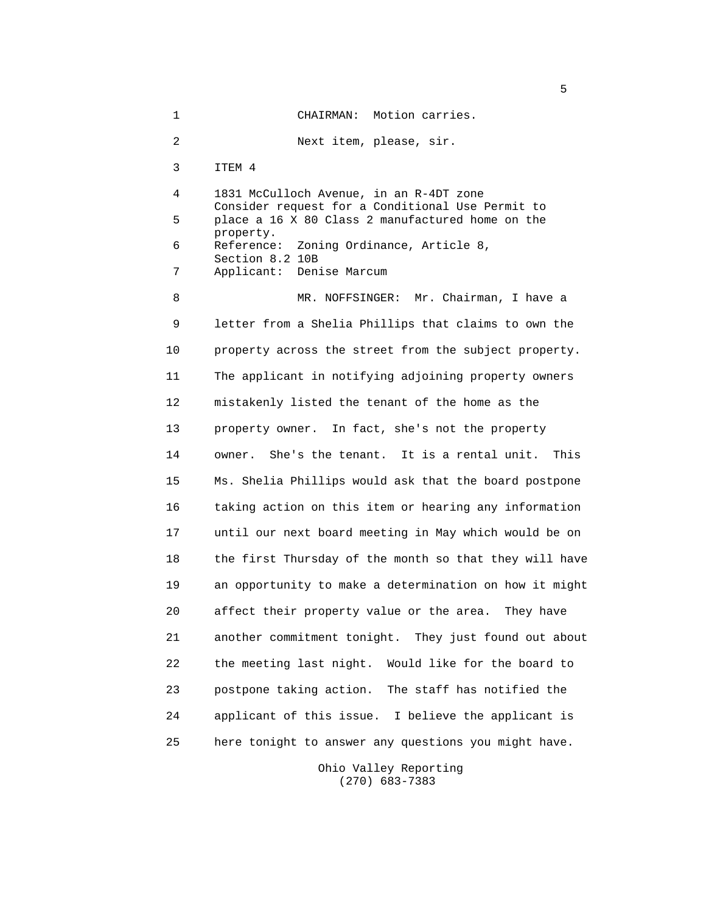1 CHAIRMAN: Motion carries. 2 Next item, please, sir. 3 ITEM 4 4 1831 McCulloch Avenue, in an R-4DT zone Consider request for a Conditional Use Permit to 5 place a 16 X 80 Class 2 manufactured home on the property. 6 Reference: Zoning Ordinance, Article 8, Section 8.2 10B 7 Applicant: Denise Marcum 8 MR. NOFFSINGER: Mr. Chairman, I have a 9 letter from a Shelia Phillips that claims to own the 10 property across the street from the subject property. 11 The applicant in notifying adjoining property owners 12 mistakenly listed the tenant of the home as the 13 property owner. In fact, she's not the property 14 owner. She's the tenant. It is a rental unit. This 15 Ms. Shelia Phillips would ask that the board postpone 16 taking action on this item or hearing any information 17 until our next board meeting in May which would be on 18 the first Thursday of the month so that they will have 19 an opportunity to make a determination on how it might 20 affect their property value or the area. They have 21 another commitment tonight. They just found out about 22 the meeting last night. Would like for the board to 23 postpone taking action. The staff has notified the 24 applicant of this issue. I believe the applicant is 25 here tonight to answer any questions you might have.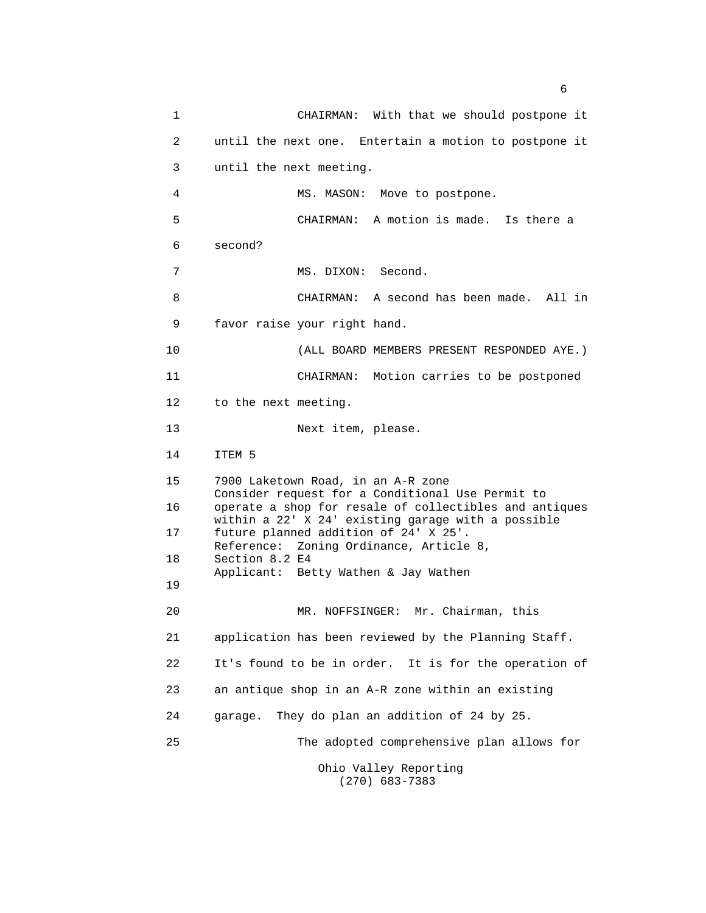1 CHAIRMAN: With that we should postpone it 2 until the next one. Entertain a motion to postpone it 3 until the next meeting. 4 MS. MASON: Move to postpone. 5 CHAIRMAN: A motion is made. Is there a 6 second? 7 MS. DIXON: Second. 8 CHAIRMAN: A second has been made. All in 9 favor raise your right hand. 10 (ALL BOARD MEMBERS PRESENT RESPONDED AYE.) 11 CHAIRMAN: Motion carries to be postponed 12 to the next meeting. 13 Next item, please. 14 ITEM 5 15 7900 Laketown Road, in an A-R zone Consider request for a Conditional Use Permit to 16 operate a shop for resale of collectibles and antiques within a 22' X 24' existing garage with a possible 17 future planned addition of 24' X 25'. Reference: Zoning Ordinance, Article 8, 18 Section 8.2 E4 Applicant: Betty Wathen & Jay Wathen 19 20 MR. NOFFSINGER: Mr. Chairman, this 21 application has been reviewed by the Planning Staff. 22 It's found to be in order. It is for the operation of 23 an antique shop in an A-R zone within an existing 24 garage. They do plan an addition of 24 by 25. 25 The adopted comprehensive plan allows for Ohio Valley Reporting (270) 683-7383

 $\sim$  6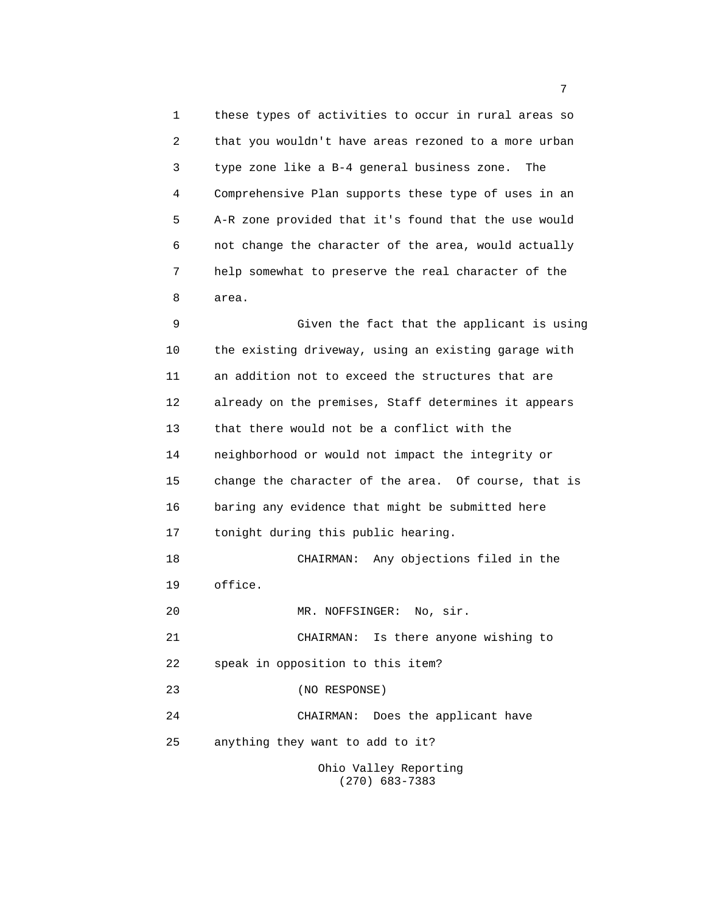1 these types of activities to occur in rural areas so 2 that you wouldn't have areas rezoned to a more urban 3 type zone like a B-4 general business zone. The 4 Comprehensive Plan supports these type of uses in an 5 A-R zone provided that it's found that the use would 6 not change the character of the area, would actually 7 help somewhat to preserve the real character of the 8 area.

 9 Given the fact that the applicant is using 10 the existing driveway, using an existing garage with 11 an addition not to exceed the structures that are 12 already on the premises, Staff determines it appears 13 that there would not be a conflict with the 14 neighborhood or would not impact the integrity or 15 change the character of the area. Of course, that is 16 baring any evidence that might be submitted here 17 tonight during this public hearing. 18 CHAIRMAN: Any objections filed in the 19 office. 20 MR. NOFFSINGER: No, sir. 21 CHAIRMAN: Is there anyone wishing to 22 speak in opposition to this item? 23 (NO RESPONSE) 24 CHAIRMAN: Does the applicant have 25 anything they want to add to it? Ohio Valley Reporting (270) 683-7383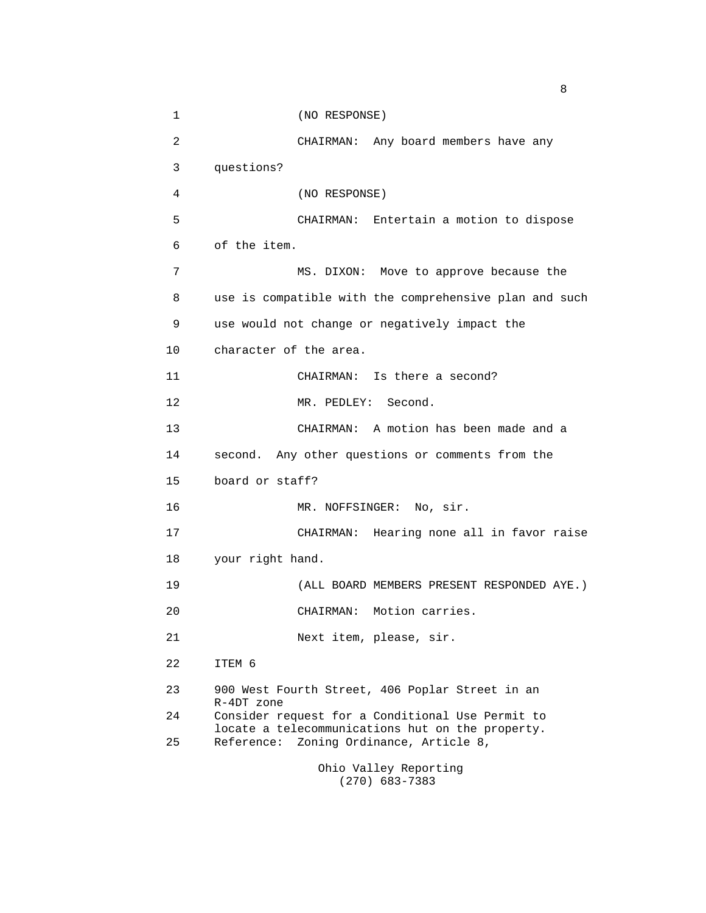1 (NO RESPONSE) 2 CHAIRMAN: Any board members have any 3 questions? 4 (NO RESPONSE) 5 CHAIRMAN: Entertain a motion to dispose 6 of the item. 7 MS. DIXON: Move to approve because the 8 use is compatible with the comprehensive plan and such 9 use would not change or negatively impact the 10 character of the area. 11 CHAIRMAN: Is there a second? 12 MR. PEDLEY: Second. 13 CHAIRMAN: A motion has been made and a 14 second. Any other questions or comments from the 15 board or staff? 16 MR. NOFFSINGER: No, sir. 17 CHAIRMAN: Hearing none all in favor raise 18 your right hand. 19 (ALL BOARD MEMBERS PRESENT RESPONDED AYE.) 20 CHAIRMAN: Motion carries. 21 Next item, please, sir. 22 ITEM 6 23 900 West Fourth Street, 406 Poplar Street in an R-4DT zone 24 Consider request for a Conditional Use Permit to locate a telecommunications hut on the property. 25 Reference: Zoning Ordinance, Article 8,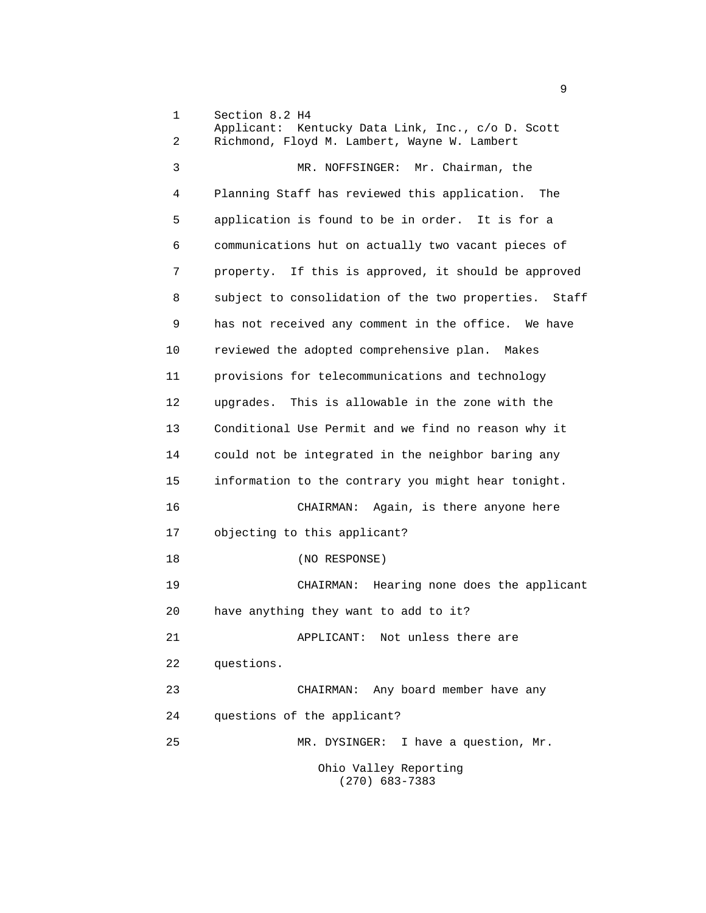1 Section 8.2 H4 Applicant: Kentucky Data Link, Inc., c/o D. Scott 2 Richmond, Floyd M. Lambert, Wayne W. Lambert 3 MR. NOFFSINGER: Mr. Chairman, the 4 Planning Staff has reviewed this application. The 5 application is found to be in order. It is for a 6 communications hut on actually two vacant pieces of 7 property. If this is approved, it should be approved 8 subject to consolidation of the two properties. Staff 9 has not received any comment in the office. We have 10 reviewed the adopted comprehensive plan. Makes 11 provisions for telecommunications and technology 12 upgrades. This is allowable in the zone with the 13 Conditional Use Permit and we find no reason why it 14 could not be integrated in the neighbor baring any 15 information to the contrary you might hear tonight. 16 CHAIRMAN: Again, is there anyone here 17 objecting to this applicant? 18 (NO RESPONSE) 19 CHAIRMAN: Hearing none does the applicant 20 have anything they want to add to it? 21 APPLICANT: Not unless there are 22 questions. 23 CHAIRMAN: Any board member have any 24 questions of the applicant? 25 MR. DYSINGER: I have a question, Mr. Ohio Valley Reporting (270) 683-7383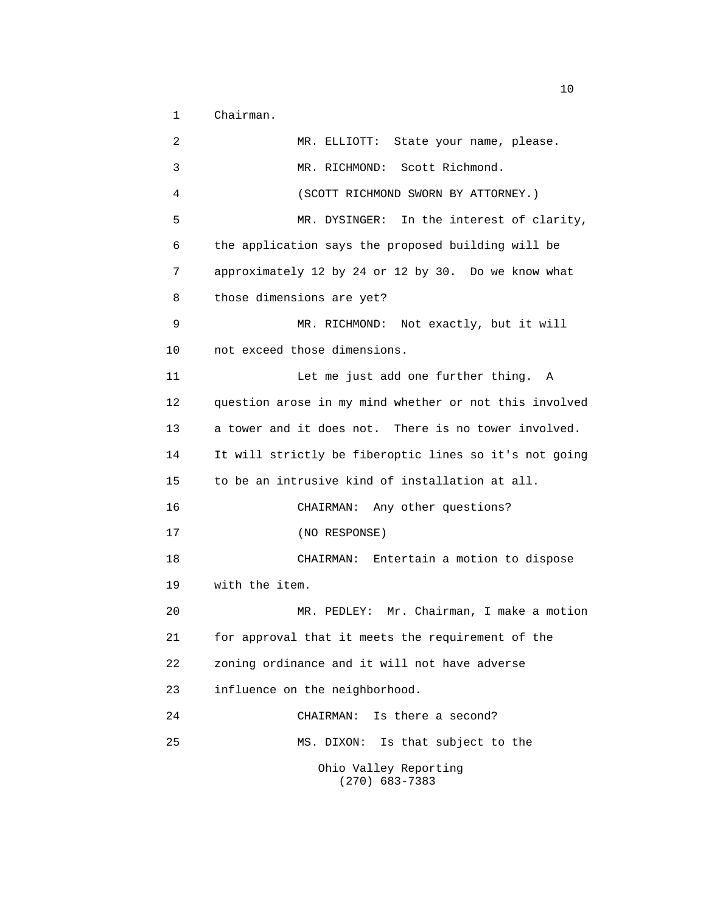1 Chairman.

 2 MR. ELLIOTT: State your name, please. 3 MR. RICHMOND: Scott Richmond. 4 (SCOTT RICHMOND SWORN BY ATTORNEY.) 5 MR. DYSINGER: In the interest of clarity, 6 the application says the proposed building will be 7 approximately 12 by 24 or 12 by 30. Do we know what 8 those dimensions are yet? 9 MR. RICHMOND: Not exactly, but it will 10 not exceed those dimensions. 11 Let me just add one further thing. A 12 question arose in my mind whether or not this involved 13 a tower and it does not. There is no tower involved. 14 It will strictly be fiberoptic lines so it's not going 15 to be an intrusive kind of installation at all. 16 CHAIRMAN: Any other questions? 17 (NO RESPONSE) 18 CHAIRMAN: Entertain a motion to dispose 19 with the item. 20 MR. PEDLEY: Mr. Chairman, I make a motion 21 for approval that it meets the requirement of the 22 zoning ordinance and it will not have adverse 23 influence on the neighborhood. 24 CHAIRMAN: Is there a second? 25 MS. DIXON: Is that subject to the Ohio Valley Reporting (270) 683-7383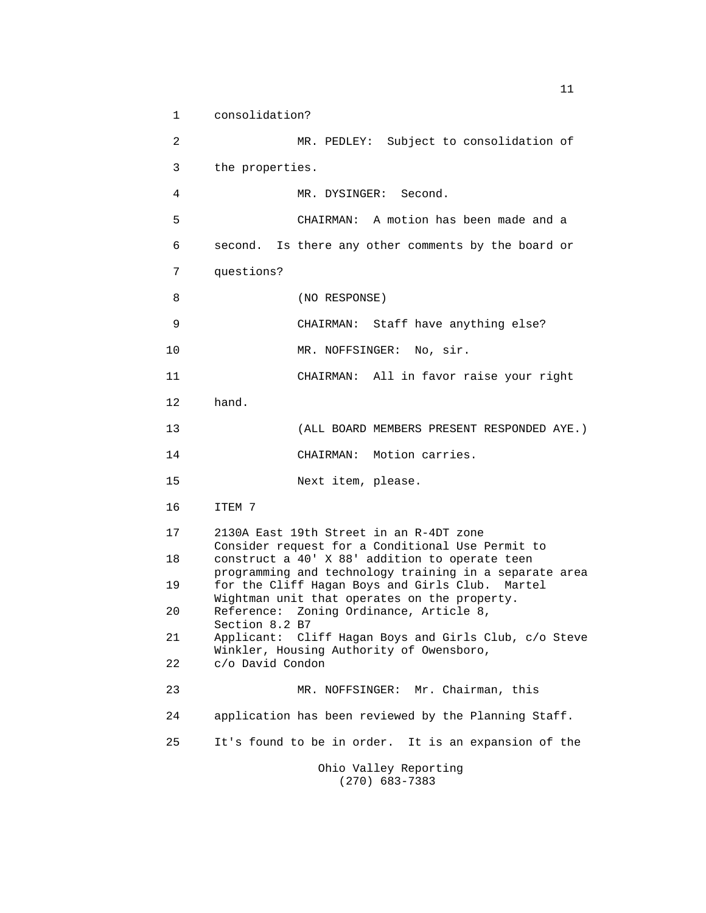1 consolidation? 2 MR. PEDLEY: Subject to consolidation of 3 the properties. 4 MR. DYSINGER: Second. 5 CHAIRMAN: A motion has been made and a 6 second. Is there any other comments by the board or 7 questions? 8 (NO RESPONSE) 9 CHAIRMAN: Staff have anything else? 10 MR. NOFFSINGER: No, sir. 11 CHAIRMAN: All in favor raise your right 12 hand. 13 (ALL BOARD MEMBERS PRESENT RESPONDED AYE.) 14 CHAIRMAN: Motion carries. 15 Next item, please. 16 ITEM 7 17 2130A East 19th Street in an R-4DT zone Consider request for a Conditional Use Permit to 18 construct a 40' X 88' addition to operate teen programming and technology training in a separate area 19 for the Cliff Hagan Boys and Girls Club. Martel Wightman unit that operates on the property. 20 Reference: Zoning Ordinance, Article 8, Section 8.2 B7 21 Applicant: Cliff Hagan Boys and Girls Club, c/o Steve Winkler, Housing Authority of Owensboro, 22 c/o David Condon 23 MR. NOFFSINGER: Mr. Chairman, this 24 application has been reviewed by the Planning Staff. 25 It's found to be in order. It is an expansion of the Ohio Valley Reporting (270) 683-7383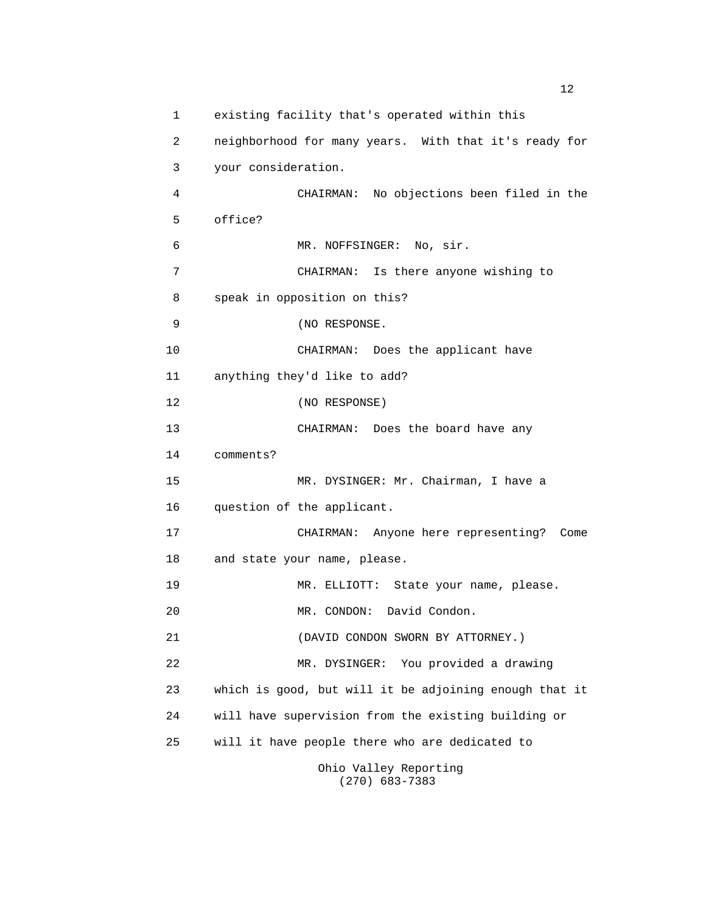1 existing facility that's operated within this 2 neighborhood for many years. With that it's ready for 3 your consideration. 4 CHAIRMAN: No objections been filed in the 5 office? 6 MR. NOFFSINGER: No, sir. 7 CHAIRMAN: Is there anyone wishing to 8 speak in opposition on this? 9 (NO RESPONSE. 10 CHAIRMAN: Does the applicant have 11 anything they'd like to add? 12 (NO RESPONSE) 13 CHAIRMAN: Does the board have any 14 comments? 15 MR. DYSINGER: Mr. Chairman, I have a 16 question of the applicant. 17 CHAIRMAN: Anyone here representing? Come 18 and state your name, please. 19 MR. ELLIOTT: State your name, please. 20 MR. CONDON: David Condon. 21 (DAVID CONDON SWORN BY ATTORNEY.) 22 MR. DYSINGER: You provided a drawing 23 which is good, but will it be adjoining enough that it 24 will have supervision from the existing building or 25 will it have people there who are dedicated to Ohio Valley Reporting

(270) 683-7383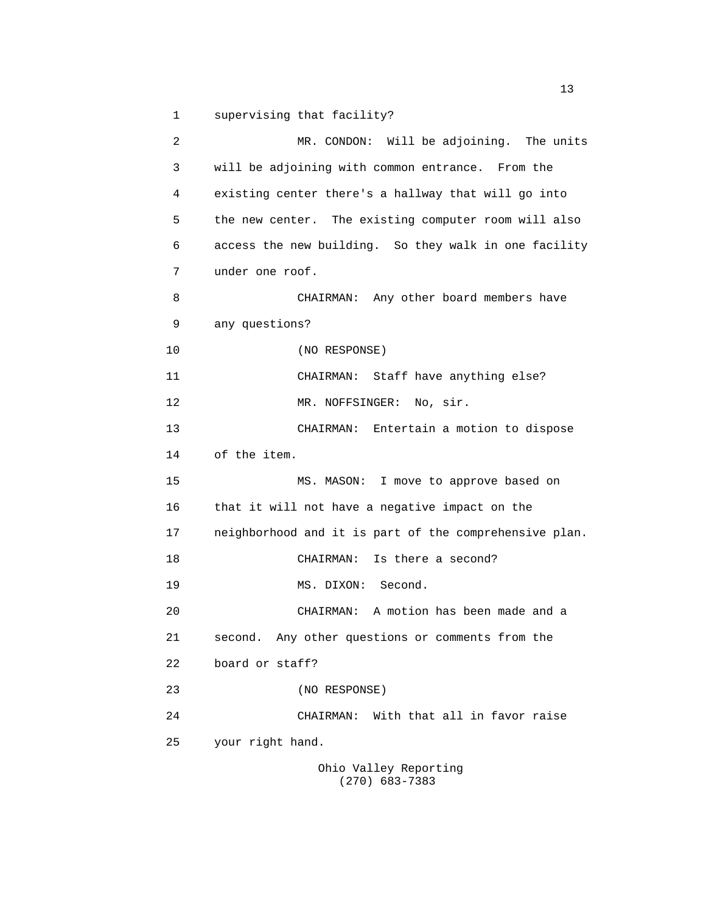1 supervising that facility?

 2 MR. CONDON: Will be adjoining. The units 3 will be adjoining with common entrance. From the 4 existing center there's a hallway that will go into 5 the new center. The existing computer room will also 6 access the new building. So they walk in one facility 7 under one roof. 8 CHAIRMAN: Any other board members have 9 any questions? 10 (NO RESPONSE) 11 CHAIRMAN: Staff have anything else? 12 MR. NOFFSINGER: No, sir. 13 CHAIRMAN: Entertain a motion to dispose 14 of the item. 15 MS. MASON: I move to approve based on 16 that it will not have a negative impact on the 17 neighborhood and it is part of the comprehensive plan. 18 CHAIRMAN: Is there a second? 19 MS. DIXON: Second. 20 CHAIRMAN: A motion has been made and a 21 second. Any other questions or comments from the 22 board or staff? 23 (NO RESPONSE) 24 CHAIRMAN: With that all in favor raise 25 your right hand. Ohio Valley Reporting

(270) 683-7383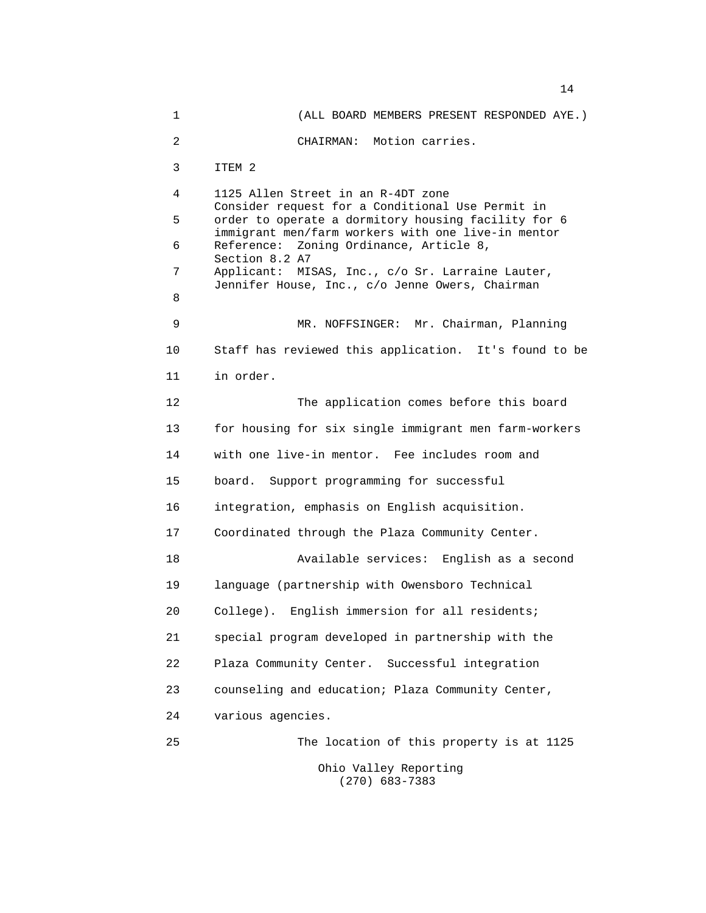1 (ALL BOARD MEMBERS PRESENT RESPONDED AYE.) 2 CHAIRMAN: Motion carries. 3 ITEM 2 4 1125 Allen Street in an R-4DT zone Consider request for a Conditional Use Permit in 5 order to operate a dormitory housing facility for 6 immigrant men/farm workers with one live-in mentor 6 Reference: Zoning Ordinance, Article 8, Section 8.2 A7 7 Applicant: MISAS, Inc., c/o Sr. Larraine Lauter, Jennifer House, Inc., c/o Jenne Owers, Chairman 8 9 MR. NOFFSINGER: Mr. Chairman, Planning 10 Staff has reviewed this application. It's found to be 11 in order. 12 The application comes before this board 13 for housing for six single immigrant men farm-workers 14 with one live-in mentor. Fee includes room and 15 board. Support programming for successful 16 integration, emphasis on English acquisition. 17 Coordinated through the Plaza Community Center. 18 Available services: English as a second 19 language (partnership with Owensboro Technical 20 College). English immersion for all residents; 21 special program developed in partnership with the 22 Plaza Community Center. Successful integration 23 counseling and education; Plaza Community Center, 24 various agencies. 25 The location of this property is at 1125 Ohio Valley Reporting (270) 683-7383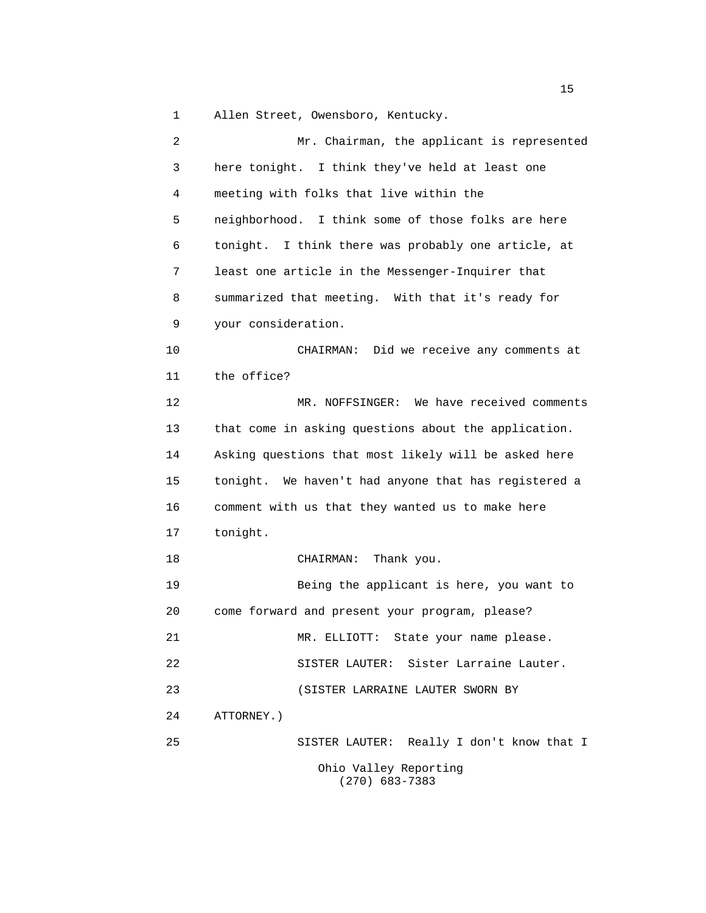1 Allen Street, Owensboro, Kentucky.

 2 Mr. Chairman, the applicant is represented 3 here tonight. I think they've held at least one 4 meeting with folks that live within the 5 neighborhood. I think some of those folks are here 6 tonight. I think there was probably one article, at 7 least one article in the Messenger-Inquirer that 8 summarized that meeting. With that it's ready for 9 your consideration. 10 CHAIRMAN: Did we receive any comments at 11 the office? 12 MR. NOFFSINGER: We have received comments 13 that come in asking questions about the application. 14 Asking questions that most likely will be asked here 15 tonight. We haven't had anyone that has registered a 16 comment with us that they wanted us to make here 17 tonight. 18 CHAIRMAN: Thank you. 19 Being the applicant is here, you want to 20 come forward and present your program, please? 21 MR. ELLIOTT: State your name please. 22 SISTER LAUTER: Sister Larraine Lauter. 23 (SISTER LARRAINE LAUTER SWORN BY 24 ATTORNEY.) 25 SISTER LAUTER: Really I don't know that I Ohio Valley Reporting (270) 683-7383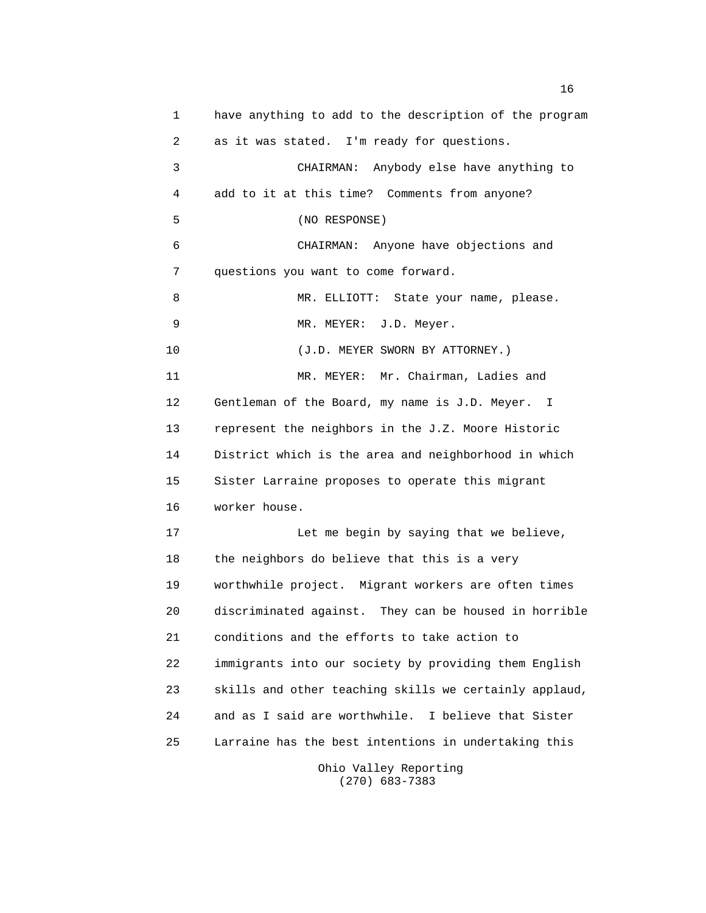1 have anything to add to the description of the program 2 as it was stated. I'm ready for questions. 3 CHAIRMAN: Anybody else have anything to 4 add to it at this time? Comments from anyone? 5 (NO RESPONSE) 6 CHAIRMAN: Anyone have objections and 7 questions you want to come forward. 8 MR. ELLIOTT: State your name, please. 9 MR. MEYER: J.D. Meyer. 10 (J.D. MEYER SWORN BY ATTORNEY.) 11 MR. MEYER: Mr. Chairman, Ladies and 12 Gentleman of the Board, my name is J.D. Meyer. I 13 represent the neighbors in the J.Z. Moore Historic 14 District which is the area and neighborhood in which 15 Sister Larraine proposes to operate this migrant 16 worker house. 17 Let me begin by saying that we believe, 18 the neighbors do believe that this is a very 19 worthwhile project. Migrant workers are often times 20 discriminated against. They can be housed in horrible 21 conditions and the efforts to take action to 22 immigrants into our society by providing them English 23 skills and other teaching skills we certainly applaud, 24 and as I said are worthwhile. I believe that Sister 25 Larraine has the best intentions in undertaking this Ohio Valley Reporting

(270) 683-7383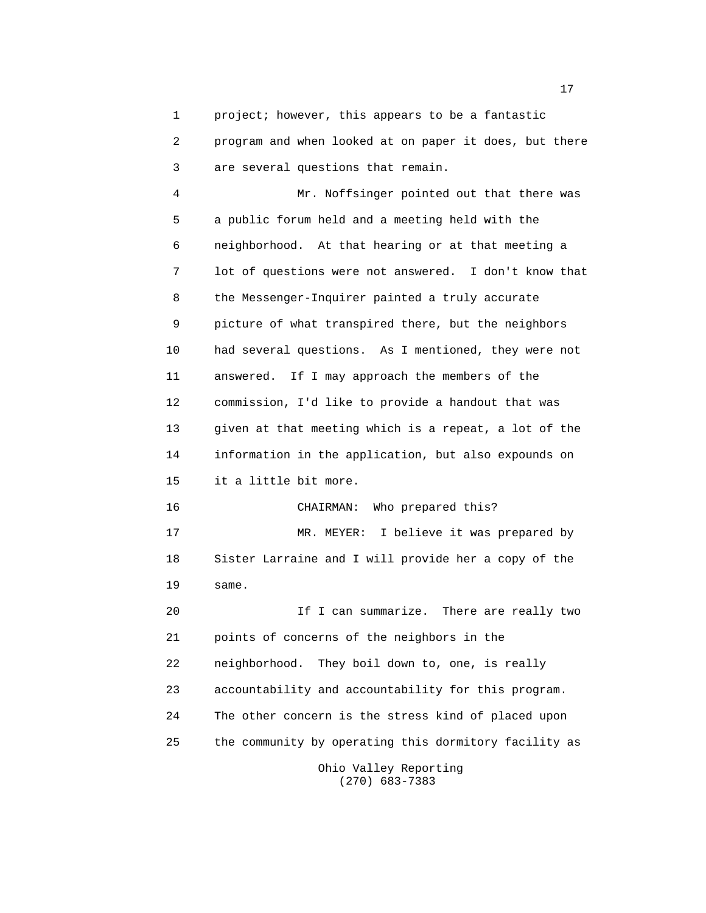1 project; however, this appears to be a fantastic 2 program and when looked at on paper it does, but there 3 are several questions that remain.

 4 Mr. Noffsinger pointed out that there was 5 a public forum held and a meeting held with the 6 neighborhood. At that hearing or at that meeting a 7 lot of questions were not answered. I don't know that 8 the Messenger-Inquirer painted a truly accurate 9 picture of what transpired there, but the neighbors 10 had several questions. As I mentioned, they were not 11 answered. If I may approach the members of the 12 commission, I'd like to provide a handout that was 13 given at that meeting which is a repeat, a lot of the 14 information in the application, but also expounds on 15 it a little bit more.

 16 CHAIRMAN: Who prepared this? 17 MR. MEYER: I believe it was prepared by 18 Sister Larraine and I will provide her a copy of the 19 same.

 20 If I can summarize. There are really two 21 points of concerns of the neighbors in the 22 neighborhood. They boil down to, one, is really 23 accountability and accountability for this program. 24 The other concern is the stress kind of placed upon 25 the community by operating this dormitory facility as Ohio Valley Reporting

(270) 683-7383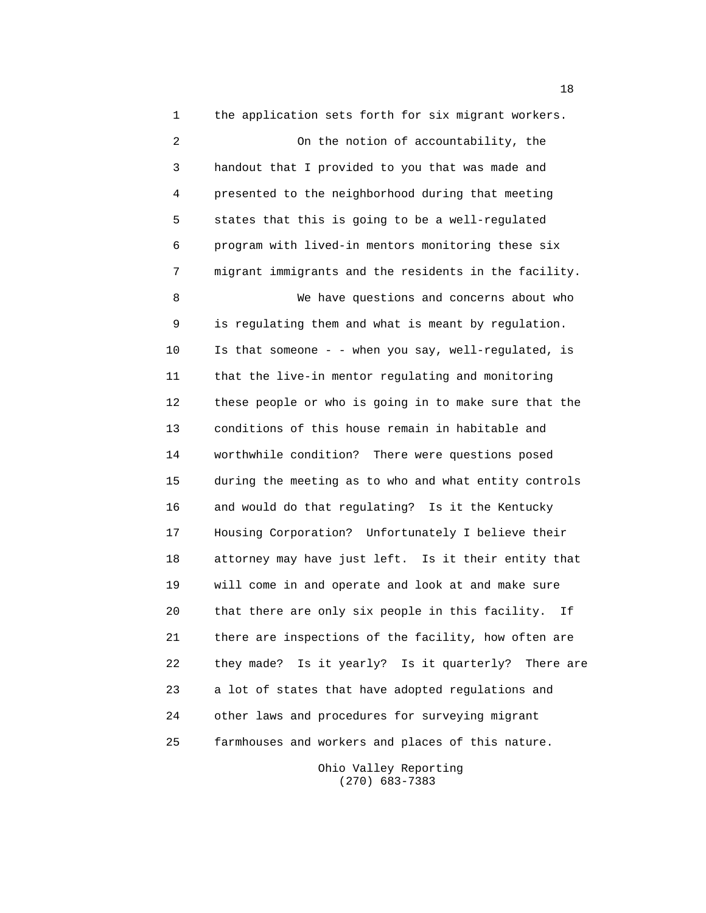1 the application sets forth for six migrant workers. 2 On the notion of accountability, the 3 handout that I provided to you that was made and 4 presented to the neighborhood during that meeting 5 states that this is going to be a well-regulated 6 program with lived-in mentors monitoring these six 7 migrant immigrants and the residents in the facility. 8 We have questions and concerns about who 9 is regulating them and what is meant by regulation. 10 Is that someone - - when you say, well-regulated, is 11 that the live-in mentor regulating and monitoring 12 these people or who is going in to make sure that the 13 conditions of this house remain in habitable and 14 worthwhile condition? There were questions posed 15 during the meeting as to who and what entity controls 16 and would do that regulating? Is it the Kentucky 17 Housing Corporation? Unfortunately I believe their 18 attorney may have just left. Is it their entity that 19 will come in and operate and look at and make sure 20 that there are only six people in this facility. If 21 there are inspections of the facility, how often are 22 they made? Is it yearly? Is it quarterly? There are 23 a lot of states that have adopted regulations and 24 other laws and procedures for surveying migrant 25 farmhouses and workers and places of this nature.

> Ohio Valley Reporting (270) 683-7383

n 18 ann an 18 an t-Iomraid ann an 18 an t-Iomraid an t-Iomraid ann an 18 an t-Iomraid an Iomraid an Iomraid a<br>T-Iomraid an t-Iomraid ann an t-Iomraid an t-Iomraid an Iomraid an Iomraid ann an t-Iomraid an Iomraid an Iomr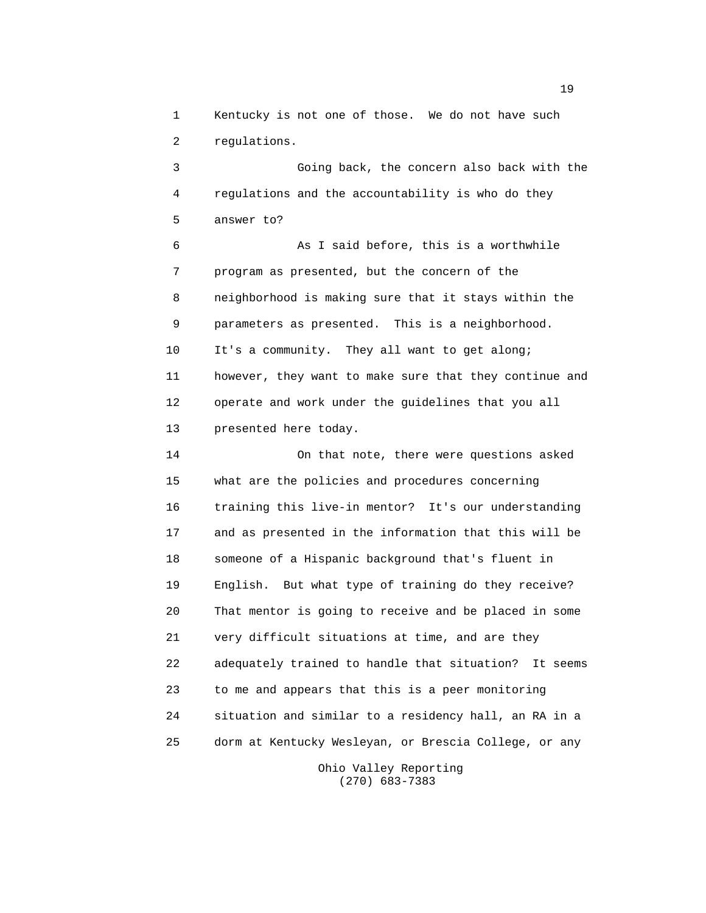1 Kentucky is not one of those. We do not have such 2 regulations.

 3 Going back, the concern also back with the 4 regulations and the accountability is who do they 5 answer to?

 6 As I said before, this is a worthwhile 7 program as presented, but the concern of the 8 neighborhood is making sure that it stays within the 9 parameters as presented. This is a neighborhood. 10 It's a community. They all want to get along; 11 however, they want to make sure that they continue and 12 operate and work under the guidelines that you all 13 presented here today.

 14 On that note, there were questions asked 15 what are the policies and procedures concerning 16 training this live-in mentor? It's our understanding 17 and as presented in the information that this will be 18 someone of a Hispanic background that's fluent in 19 English. But what type of training do they receive? 20 That mentor is going to receive and be placed in some 21 very difficult situations at time, and are they 22 adequately trained to handle that situation? It seems 23 to me and appears that this is a peer monitoring 24 situation and similar to a residency hall, an RA in a 25 dorm at Kentucky Wesleyan, or Brescia College, or any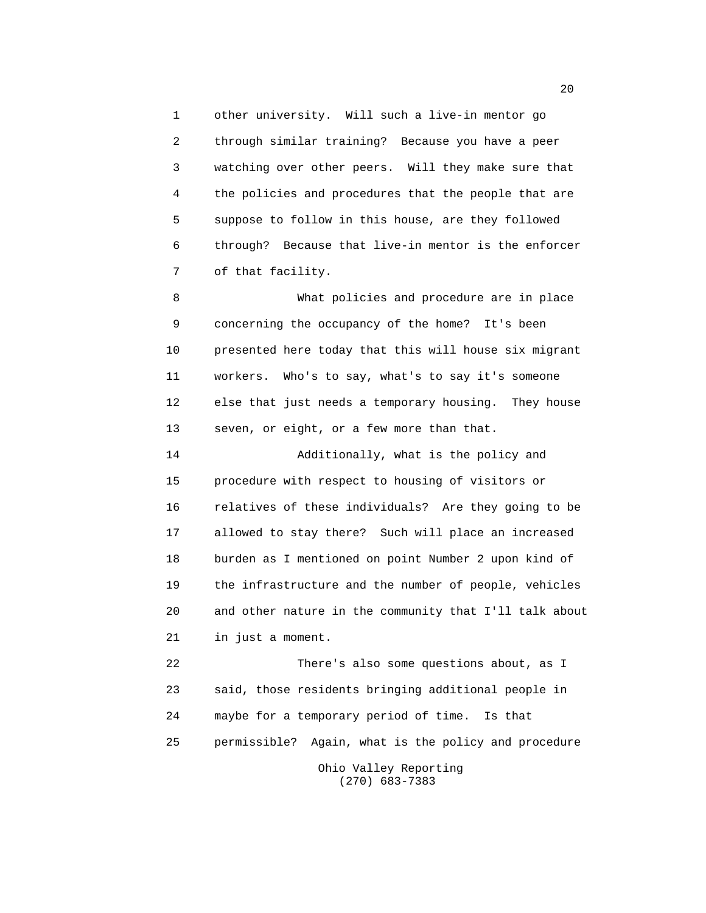1 other university. Will such a live-in mentor go 2 through similar training? Because you have a peer 3 watching over other peers. Will they make sure that 4 the policies and procedures that the people that are 5 suppose to follow in this house, are they followed 6 through? Because that live-in mentor is the enforcer 7 of that facility.

 8 What policies and procedure are in place 9 concerning the occupancy of the home? It's been 10 presented here today that this will house six migrant 11 workers. Who's to say, what's to say it's someone 12 else that just needs a temporary housing. They house 13 seven, or eight, or a few more than that.

 14 Additionally, what is the policy and 15 procedure with respect to housing of visitors or 16 relatives of these individuals? Are they going to be 17 allowed to stay there? Such will place an increased 18 burden as I mentioned on point Number 2 upon kind of 19 the infrastructure and the number of people, vehicles 20 and other nature in the community that I'll talk about 21 in just a moment.

 22 There's also some questions about, as I 23 said, those residents bringing additional people in 24 maybe for a temporary period of time. Is that 25 permissible? Again, what is the policy and procedure Ohio Valley Reporting (270) 683-7383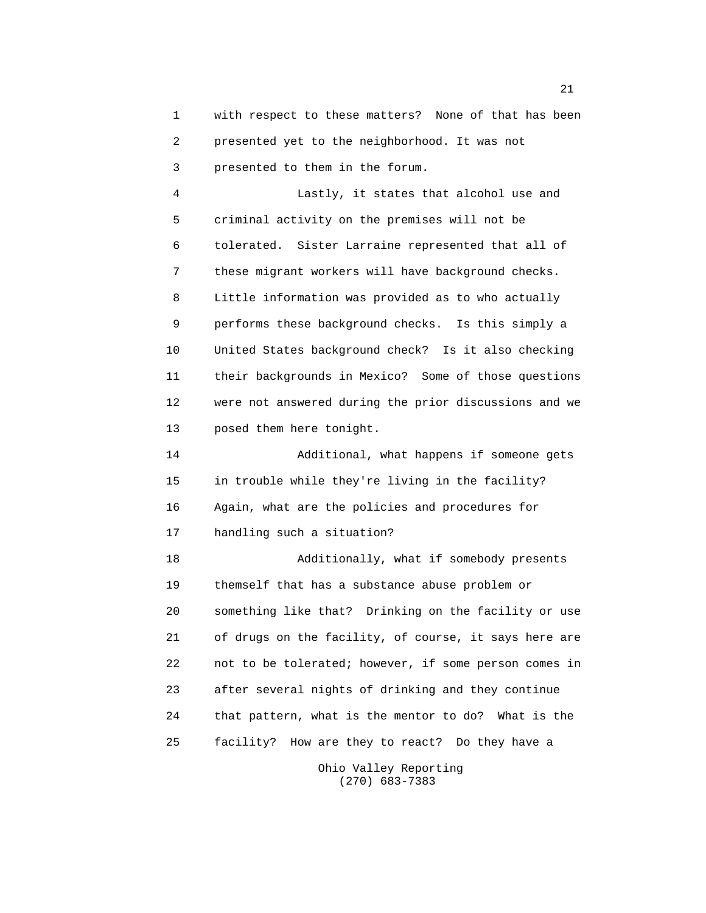1 with respect to these matters? None of that has been 2 presented yet to the neighborhood. It was not 3 presented to them in the forum.

 4 Lastly, it states that alcohol use and 5 criminal activity on the premises will not be 6 tolerated. Sister Larraine represented that all of 7 these migrant workers will have background checks. 8 Little information was provided as to who actually 9 performs these background checks. Is this simply a 10 United States background check? Is it also checking 11 their backgrounds in Mexico? Some of those questions 12 were not answered during the prior discussions and we 13 posed them here tonight.

 14 Additional, what happens if someone gets 15 in trouble while they're living in the facility? 16 Again, what are the policies and procedures for 17 handling such a situation?

 18 Additionally, what if somebody presents 19 themself that has a substance abuse problem or 20 something like that? Drinking on the facility or use 21 of drugs on the facility, of course, it says here are 22 not to be tolerated; however, if some person comes in 23 after several nights of drinking and they continue 24 that pattern, what is the mentor to do? What is the 25 facility? How are they to react? Do they have a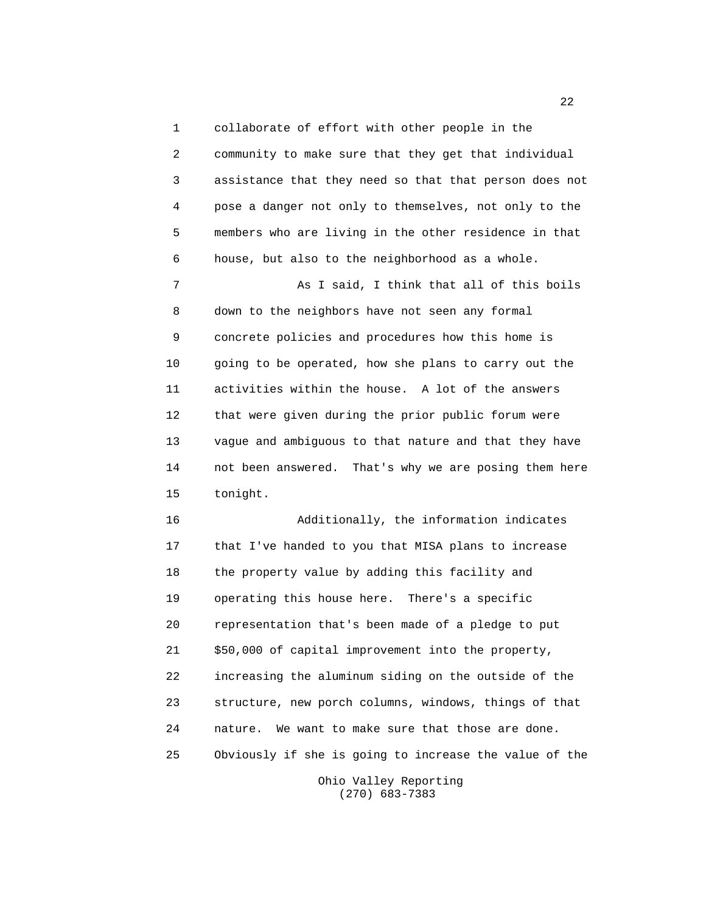1 collaborate of effort with other people in the 2 community to make sure that they get that individual 3 assistance that they need so that that person does not 4 pose a danger not only to themselves, not only to the 5 members who are living in the other residence in that 6 house, but also to the neighborhood as a whole. 7 As I said, I think that all of this boils 8 down to the neighbors have not seen any formal 9 concrete policies and procedures how this home is 10 going to be operated, how she plans to carry out the 11 activities within the house. A lot of the answers 12 that were given during the prior public forum were 13 vague and ambiguous to that nature and that they have 14 not been answered. That's why we are posing them here

15 tonight.

 16 Additionally, the information indicates 17 that I've handed to you that MISA plans to increase 18 the property value by adding this facility and 19 operating this house here. There's a specific 20 representation that's been made of a pledge to put 21 \$50,000 of capital improvement into the property, 22 increasing the aluminum siding on the outside of the 23 structure, new porch columns, windows, things of that 24 nature. We want to make sure that those are done. 25 Obviously if she is going to increase the value of the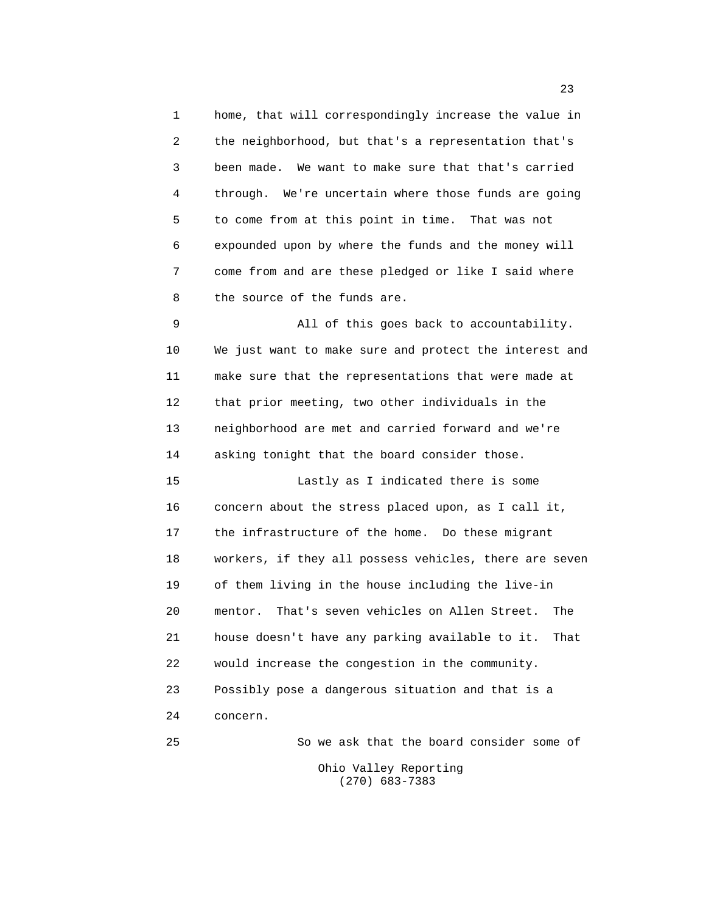1 home, that will correspondingly increase the value in 2 the neighborhood, but that's a representation that's 3 been made. We want to make sure that that's carried 4 through. We're uncertain where those funds are going 5 to come from at this point in time. That was not 6 expounded upon by where the funds and the money will 7 come from and are these pledged or like I said where 8 the source of the funds are. 9 All of this goes back to accountability. 10 We just want to make sure and protect the interest and 11 make sure that the representations that were made at 12 that prior meeting, two other individuals in the 13 neighborhood are met and carried forward and we're 14 asking tonight that the board consider those. 15 Lastly as I indicated there is some

 16 concern about the stress placed upon, as I call it, 17 the infrastructure of the home. Do these migrant 18 workers, if they all possess vehicles, there are seven 19 of them living in the house including the live-in 20 mentor. That's seven vehicles on Allen Street. The 21 house doesn't have any parking available to it. That 22 would increase the congestion in the community. 23 Possibly pose a dangerous situation and that is a 24 concern.

 25 So we ask that the board consider some of Ohio Valley Reporting (270) 683-7383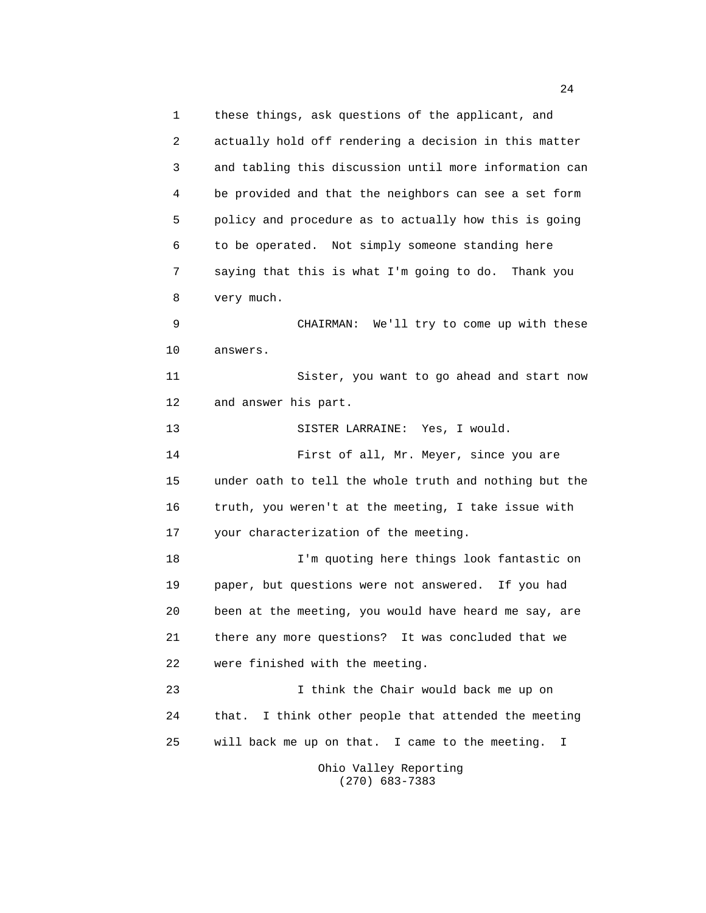1 these things, ask questions of the applicant, and 2 actually hold off rendering a decision in this matter 3 and tabling this discussion until more information can 4 be provided and that the neighbors can see a set form 5 policy and procedure as to actually how this is going 6 to be operated. Not simply someone standing here 7 saying that this is what I'm going to do. Thank you 8 very much. 9 CHAIRMAN: We'll try to come up with these 10 answers. 11 Sister, you want to go ahead and start now 12 and answer his part. 13 SISTER LARRAINE: Yes, I would. 14 First of all, Mr. Meyer, since you are 15 under oath to tell the whole truth and nothing but the 16 truth, you weren't at the meeting, I take issue with 17 your characterization of the meeting. 18 I'm quoting here things look fantastic on 19 paper, but questions were not answered. If you had 20 been at the meeting, you would have heard me say, are 21 there any more questions? It was concluded that we 22 were finished with the meeting. 23 I think the Chair would back me up on 24 that. I think other people that attended the meeting 25 will back me up on that. I came to the meeting. I Ohio Valley Reporting

(270) 683-7383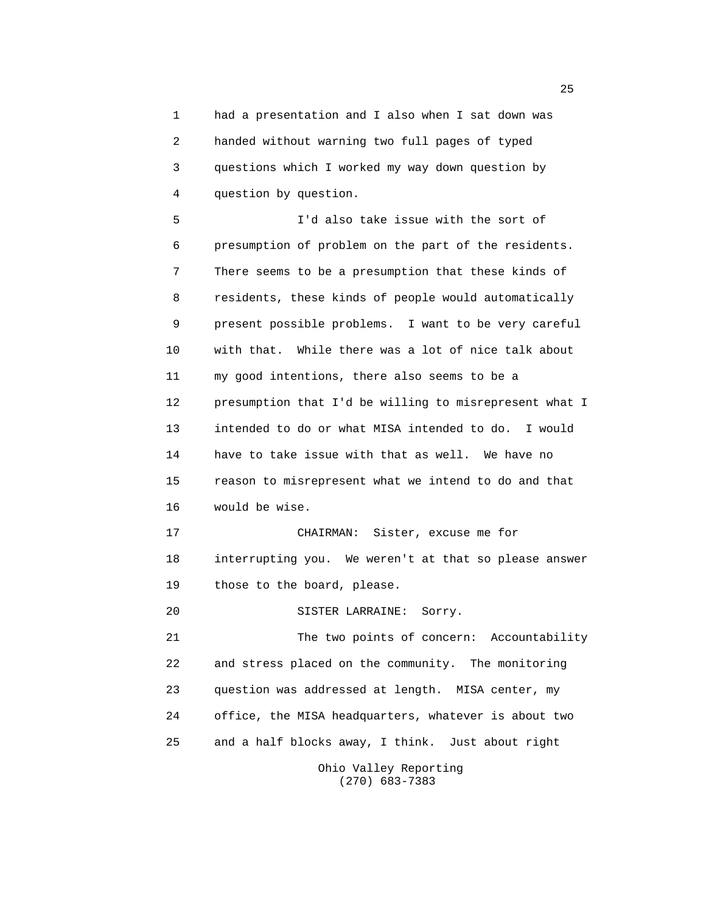1 had a presentation and I also when I sat down was 2 handed without warning two full pages of typed 3 questions which I worked my way down question by 4 question by question.

 5 I'd also take issue with the sort of 6 presumption of problem on the part of the residents. 7 There seems to be a presumption that these kinds of 8 residents, these kinds of people would automatically 9 present possible problems. I want to be very careful 10 with that. While there was a lot of nice talk about 11 my good intentions, there also seems to be a 12 presumption that I'd be willing to misrepresent what I 13 intended to do or what MISA intended to do. I would 14 have to take issue with that as well. We have no 15 reason to misrepresent what we intend to do and that 16 would be wise. 17 CHAIRMAN: Sister, excuse me for 18 interrupting you. We weren't at that so please answer

19 those to the board, please.

20 SISTER LARRAINE: Sorry.

 21 The two points of concern: Accountability 22 and stress placed on the community. The monitoring 23 question was addressed at length. MISA center, my 24 office, the MISA headquarters, whatever is about two 25 and a half blocks away, I think. Just about right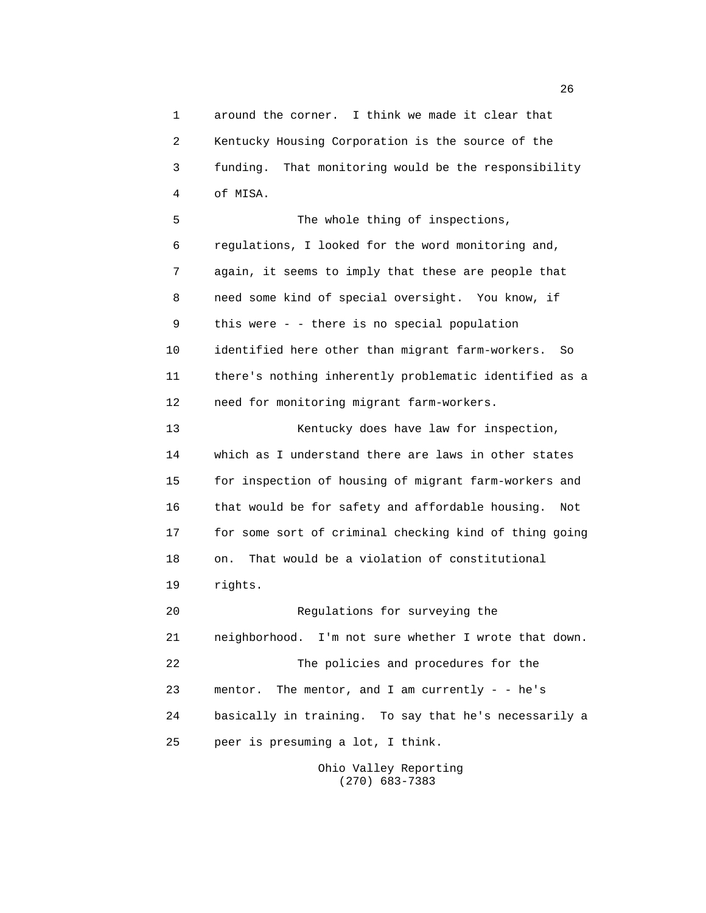1 around the corner. I think we made it clear that 2 Kentucky Housing Corporation is the source of the 3 funding. That monitoring would be the responsibility 4 of MISA. 5 The whole thing of inspections, 6 regulations, I looked for the word monitoring and, 7 again, it seems to imply that these are people that 8 need some kind of special oversight. You know, if 9 this were - - there is no special population 10 identified here other than migrant farm-workers. So 11 there's nothing inherently problematic identified as a 12 need for monitoring migrant farm-workers. 13 Kentucky does have law for inspection, 14 which as I understand there are laws in other states 15 for inspection of housing of migrant farm-workers and 16 that would be for safety and affordable housing. Not 17 for some sort of criminal checking kind of thing going 18 on. That would be a violation of constitutional 19 rights. 20 Regulations for surveying the 21 neighborhood. I'm not sure whether I wrote that down. 22 The policies and procedures for the 23 mentor. The mentor, and I am currently - - he's 24 basically in training. To say that he's necessarily a 25 peer is presuming a lot, I think.

 Ohio Valley Reporting (270) 683-7383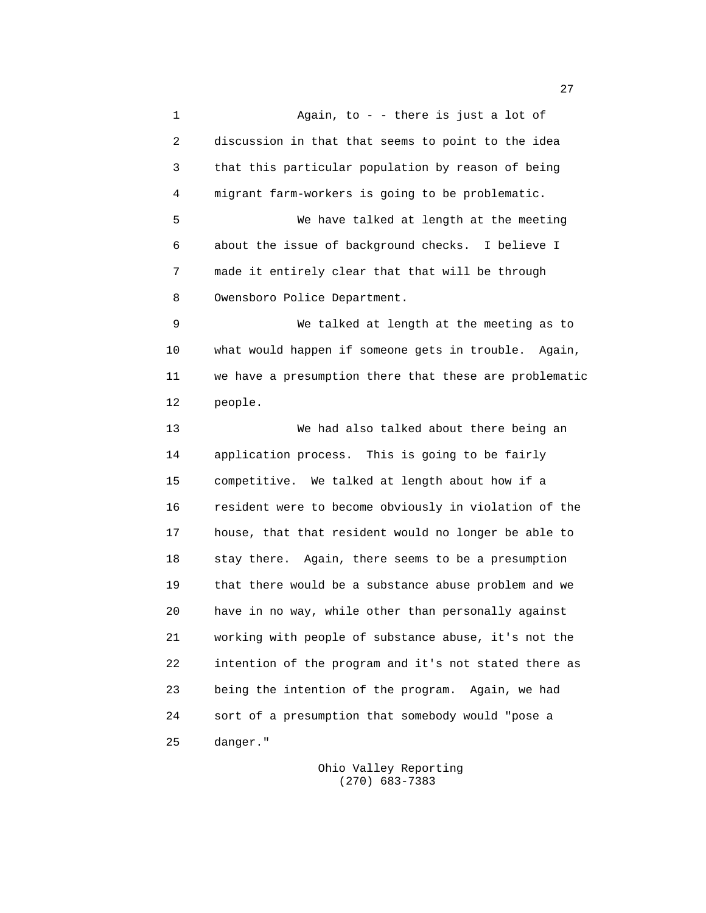1 Again, to - - there is just a lot of 2 discussion in that that seems to point to the idea 3 that this particular population by reason of being 4 migrant farm-workers is going to be problematic. 5 We have talked at length at the meeting 6 about the issue of background checks. I believe I 7 made it entirely clear that that will be through 8 Owensboro Police Department. 9 We talked at length at the meeting as to 10 what would happen if someone gets in trouble. Again, 11 we have a presumption there that these are problematic 12 people. 13 We had also talked about there being an 14 application process. This is going to be fairly 15 competitive. We talked at length about how if a 16 resident were to become obviously in violation of the 17 house, that that resident would no longer be able to 18 stay there. Again, there seems to be a presumption 19 that there would be a substance abuse problem and we 20 have in no way, while other than personally against 21 working with people of substance abuse, it's not the 22 intention of the program and it's not stated there as 23 being the intention of the program. Again, we had 24 sort of a presumption that somebody would "pose a 25 danger."

> Ohio Valley Reporting (270) 683-7383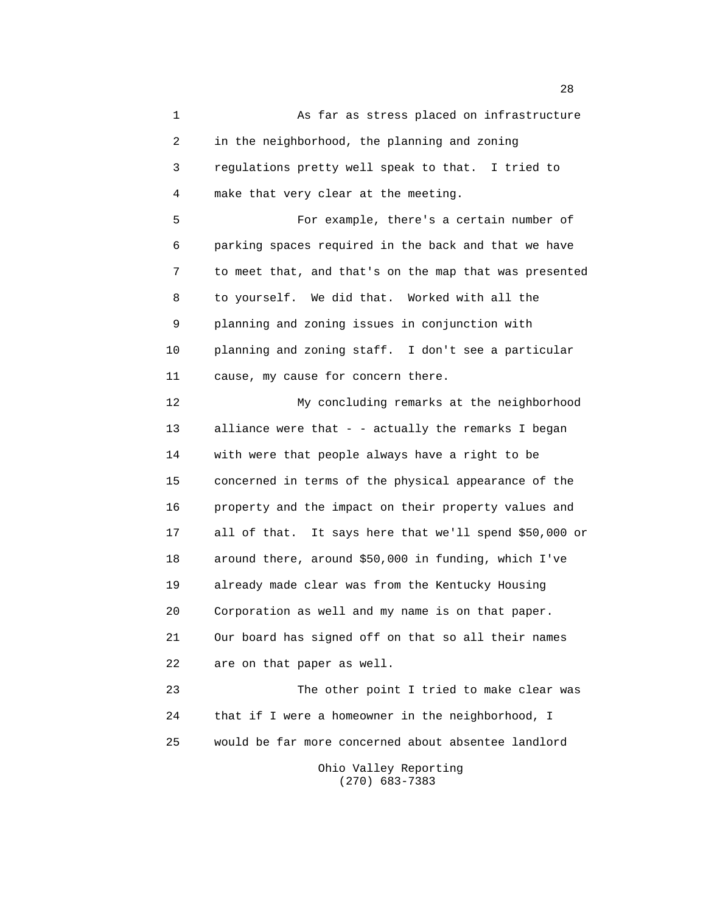1 As far as stress placed on infrastructure 2 in the neighborhood, the planning and zoning 3 regulations pretty well speak to that. I tried to 4 make that very clear at the meeting. 5 For example, there's a certain number of 6 parking spaces required in the back and that we have 7 to meet that, and that's on the map that was presented 8 to yourself. We did that. Worked with all the 9 planning and zoning issues in conjunction with 10 planning and zoning staff. I don't see a particular 11 cause, my cause for concern there. 12 My concluding remarks at the neighborhood 13 alliance were that - - actually the remarks I began 14 with were that people always have a right to be 15 concerned in terms of the physical appearance of the 16 property and the impact on their property values and 17 all of that. It says here that we'll spend \$50,000 or 18 around there, around \$50,000 in funding, which I've 19 already made clear was from the Kentucky Housing 20 Corporation as well and my name is on that paper. 21 Our board has signed off on that so all their names 22 are on that paper as well. 23 The other point I tried to make clear was 24 that if I were a homeowner in the neighborhood, I 25 would be far more concerned about absentee landlord Ohio Valley Reporting

(270) 683-7383

<u>28</u>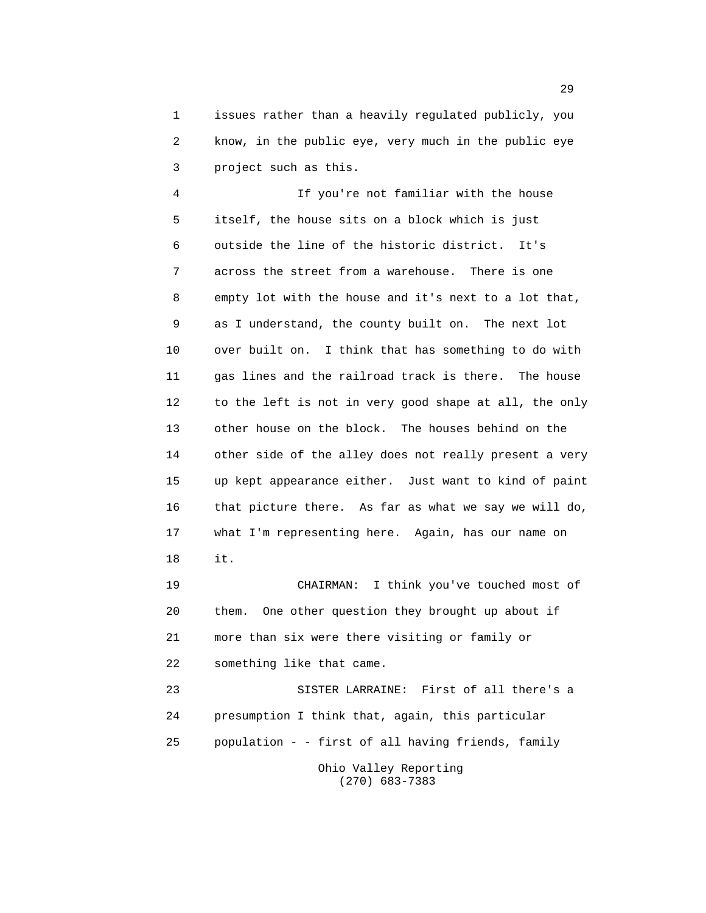1 issues rather than a heavily regulated publicly, you 2 know, in the public eye, very much in the public eye 3 project such as this.

 4 If you're not familiar with the house 5 itself, the house sits on a block which is just 6 outside the line of the historic district. It's 7 across the street from a warehouse. There is one 8 empty lot with the house and it's next to a lot that, 9 as I understand, the county built on. The next lot 10 over built on. I think that has something to do with 11 gas lines and the railroad track is there. The house 12 to the left is not in very good shape at all, the only 13 other house on the block. The houses behind on the 14 other side of the alley does not really present a very 15 up kept appearance either. Just want to kind of paint 16 that picture there. As far as what we say we will do, 17 what I'm representing here. Again, has our name on 18 it.

 19 CHAIRMAN: I think you've touched most of 20 them. One other question they brought up about if 21 more than six were there visiting or family or 22 something like that came.

 23 SISTER LARRAINE: First of all there's a 24 presumption I think that, again, this particular 25 population - - first of all having friends, family Ohio Valley Reporting (270) 683-7383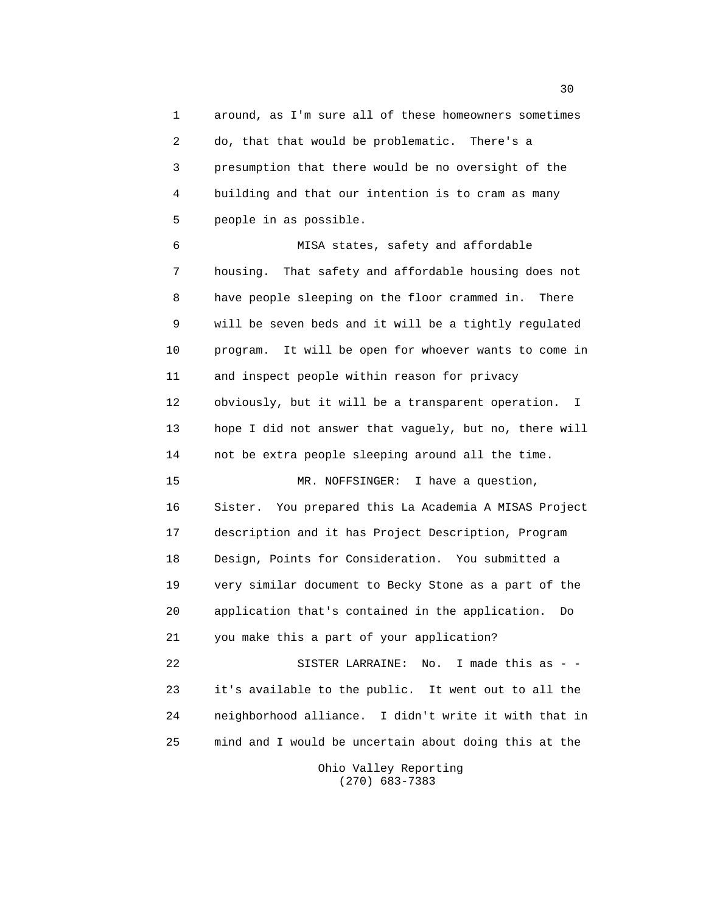1 around, as I'm sure all of these homeowners sometimes 2 do, that that would be problematic. There's a 3 presumption that there would be no oversight of the 4 building and that our intention is to cram as many 5 people in as possible.

 6 MISA states, safety and affordable 7 housing. That safety and affordable housing does not 8 have people sleeping on the floor crammed in. There 9 will be seven beds and it will be a tightly regulated 10 program. It will be open for whoever wants to come in 11 and inspect people within reason for privacy 12 obviously, but it will be a transparent operation. I 13 hope I did not answer that vaguely, but no, there will 14 not be extra people sleeping around all the time. 15 MR. NOFFSINGER: I have a question, 16 Sister. You prepared this La Academia A MISAS Project 17 description and it has Project Description, Program 18 Design, Points for Consideration. You submitted a 19 very similar document to Becky Stone as a part of the 20 application that's contained in the application. Do 21 you make this a part of your application? 22 SISTER LARRAINE: No. I made this as - - 23 it's available to the public. It went out to all the

 24 neighborhood alliance. I didn't write it with that in 25 mind and I would be uncertain about doing this at the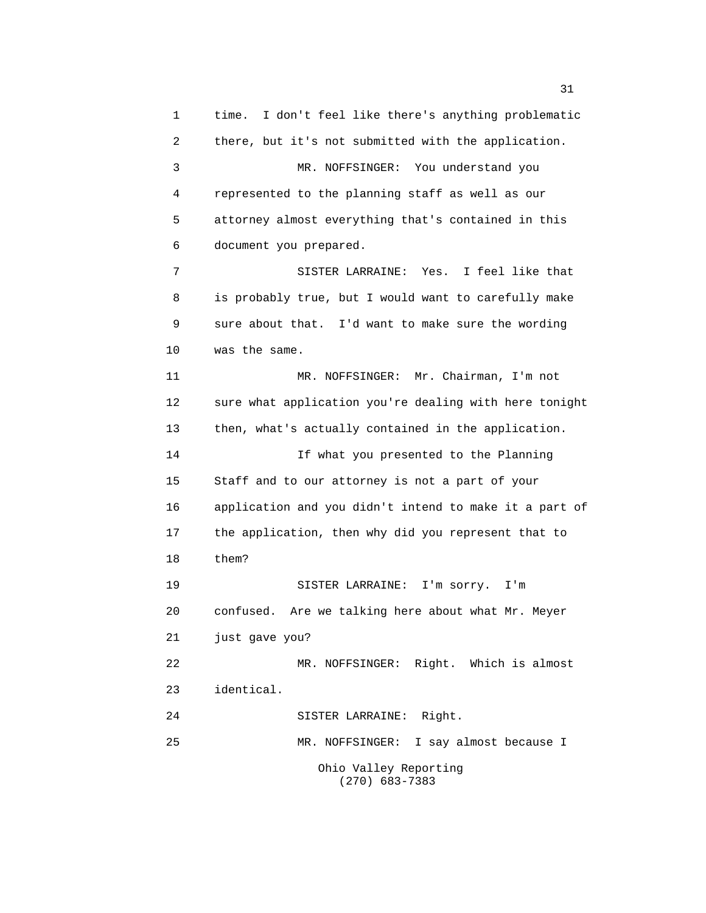1 time. I don't feel like there's anything problematic 2 there, but it's not submitted with the application. 3 MR. NOFFSINGER: You understand you 4 represented to the planning staff as well as our 5 attorney almost everything that's contained in this 6 document you prepared. 7 SISTER LARRAINE: Yes. I feel like that 8 is probably true, but I would want to carefully make 9 sure about that. I'd want to make sure the wording 10 was the same. 11 MR. NOFFSINGER: Mr. Chairman, I'm not 12 sure what application you're dealing with here tonight 13 then, what's actually contained in the application. 14 If what you presented to the Planning 15 Staff and to our attorney is not a part of your 16 application and you didn't intend to make it a part of 17 the application, then why did you represent that to 18 them? 19 SISTER LARRAINE: I'm sorry. I'm 20 confused. Are we talking here about what Mr. Meyer 21 just gave you? 22 MR. NOFFSINGER: Right. Which is almost 23 identical. 24 SISTER LARRAINE: Right. 25 MR. NOFFSINGER: I say almost because I Ohio Valley Reporting (270) 683-7383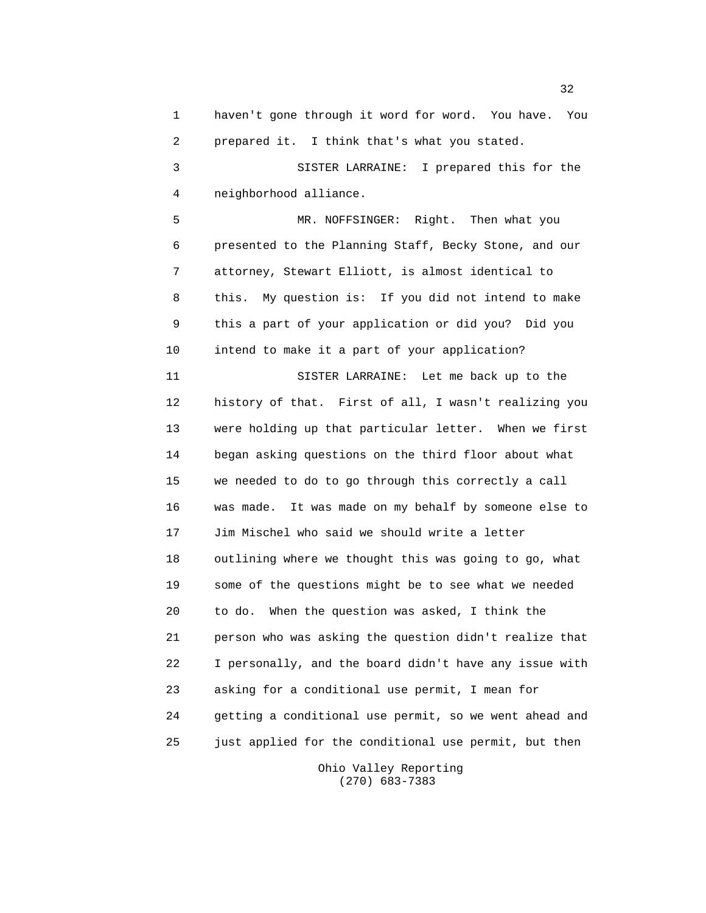1 haven't gone through it word for word. You have. You 2 prepared it. I think that's what you stated. 3 SISTER LARRAINE: I prepared this for the 4 neighborhood alliance. 5 MR. NOFFSINGER: Right. Then what you 6 presented to the Planning Staff, Becky Stone, and our 7 attorney, Stewart Elliott, is almost identical to 8 this. My question is: If you did not intend to make 9 this a part of your application or did you? Did you 10 intend to make it a part of your application? 11 SISTER LARRAINE: Let me back up to the 12 history of that. First of all, I wasn't realizing you 13 were holding up that particular letter. When we first 14 began asking questions on the third floor about what 15 we needed to do to go through this correctly a call 16 was made. It was made on my behalf by someone else to 17 Jim Mischel who said we should write a letter 18 outlining where we thought this was going to go, what 19 some of the questions might be to see what we needed 20 to do. When the question was asked, I think the 21 person who was asking the question didn't realize that 22 I personally, and the board didn't have any issue with 23 asking for a conditional use permit, I mean for 24 getting a conditional use permit, so we went ahead and 25 just applied for the conditional use permit, but then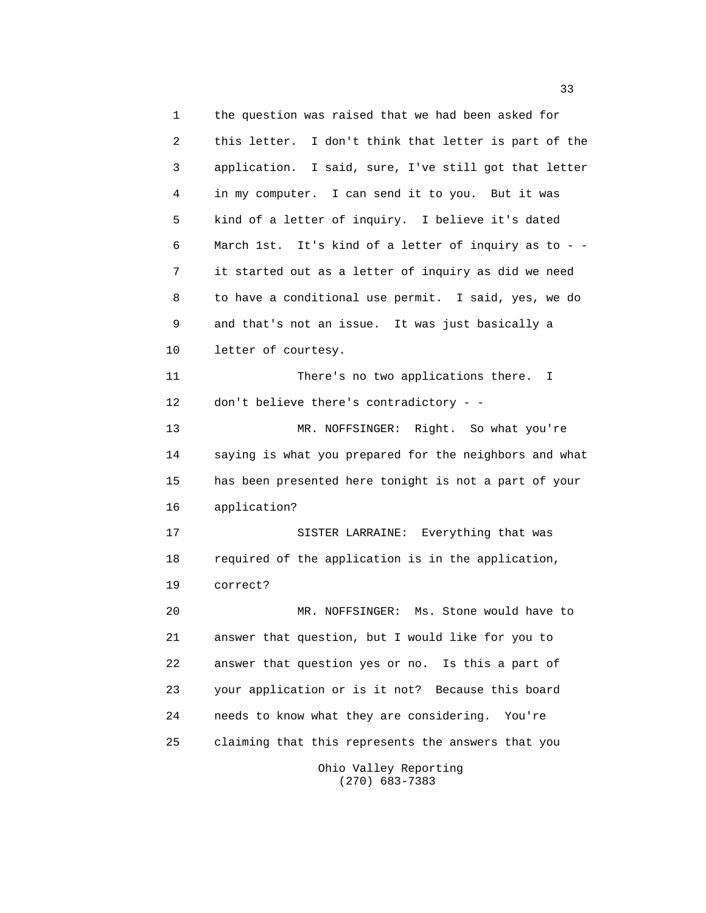1 the question was raised that we had been asked for 2 this letter. I don't think that letter is part of the 3 application. I said, sure, I've still got that letter 4 in my computer. I can send it to you. But it was 5 kind of a letter of inquiry. I believe it's dated 6 March 1st. It's kind of a letter of inquiry as to - - 7 it started out as a letter of inquiry as did we need 8 to have a conditional use permit. I said, yes, we do 9 and that's not an issue. It was just basically a 10 letter of courtesy. 11 There's no two applications there. I 12 don't believe there's contradictory - - 13 MR. NOFFSINGER: Right. So what you're 14 saying is what you prepared for the neighbors and what 15 has been presented here tonight is not a part of your 16 application? 17 SISTER LARRAINE: Everything that was 18 required of the application is in the application, 19 correct? 20 MR. NOFFSINGER: Ms. Stone would have to 21 answer that question, but I would like for you to 22 answer that question yes or no. Is this a part of 23 your application or is it not? Because this board 24 needs to know what they are considering. You're 25 claiming that this represents the answers that you Ohio Valley Reporting

(270) 683-7383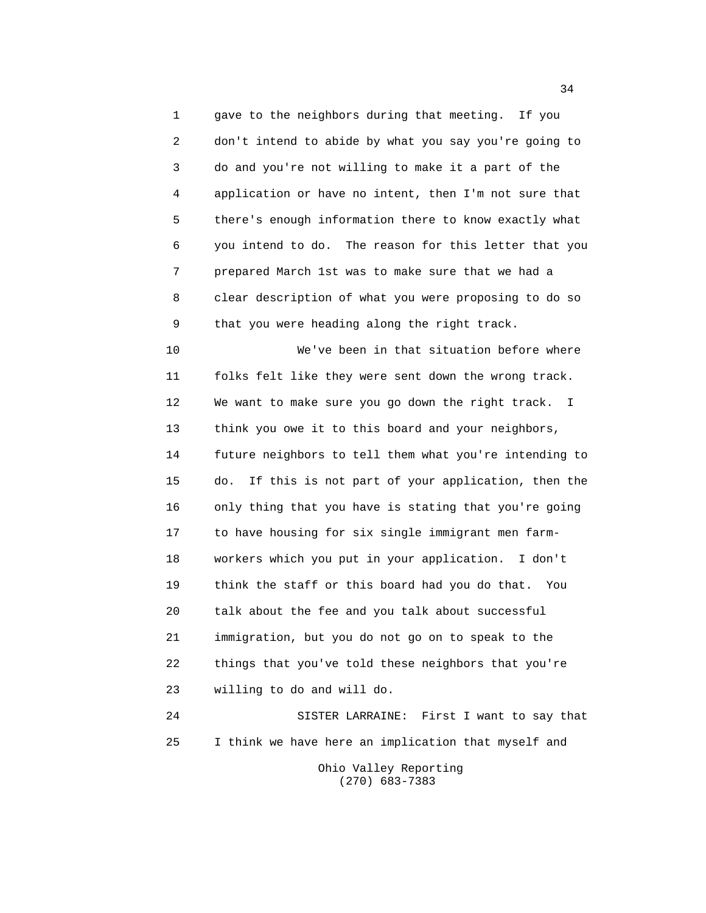1 gave to the neighbors during that meeting. If you 2 don't intend to abide by what you say you're going to 3 do and you're not willing to make it a part of the 4 application or have no intent, then I'm not sure that 5 there's enough information there to know exactly what 6 you intend to do. The reason for this letter that you 7 prepared March 1st was to make sure that we had a 8 clear description of what you were proposing to do so 9 that you were heading along the right track.

 10 We've been in that situation before where 11 folks felt like they were sent down the wrong track. 12 We want to make sure you go down the right track. I 13 think you owe it to this board and your neighbors, 14 future neighbors to tell them what you're intending to 15 do. If this is not part of your application, then the 16 only thing that you have is stating that you're going 17 to have housing for six single immigrant men farm- 18 workers which you put in your application. I don't 19 think the staff or this board had you do that. You 20 talk about the fee and you talk about successful 21 immigration, but you do not go on to speak to the 22 things that you've told these neighbors that you're 23 willing to do and will do. 24 SISTER LARRAINE: First I want to say that

 25 I think we have here an implication that myself and Ohio Valley Reporting

(270) 683-7383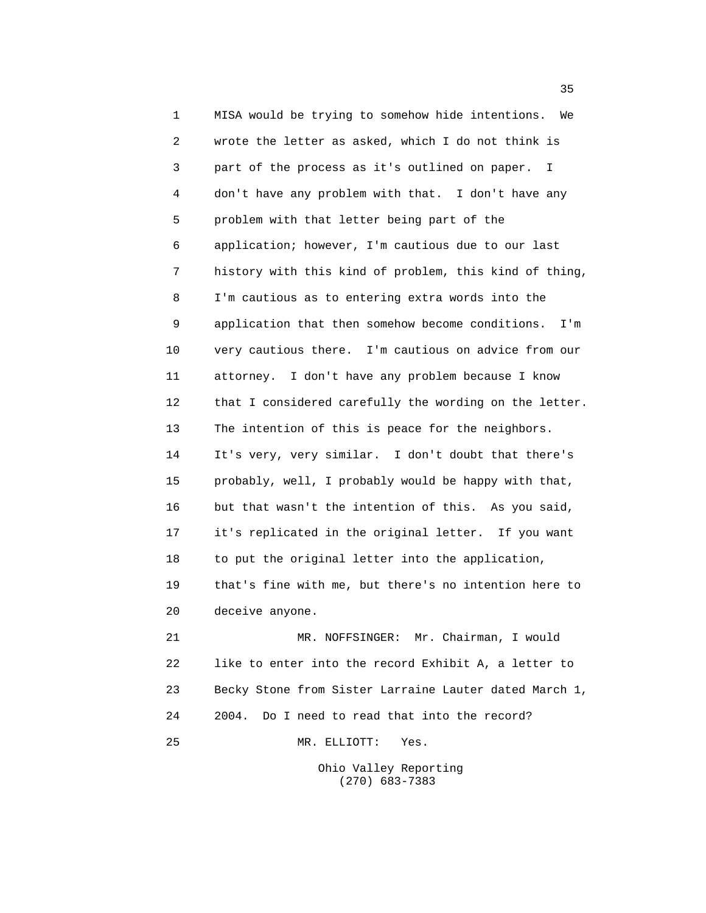1 MISA would be trying to somehow hide intentions. We 2 wrote the letter as asked, which I do not think is 3 part of the process as it's outlined on paper. I 4 don't have any problem with that. I don't have any 5 problem with that letter being part of the 6 application; however, I'm cautious due to our last 7 history with this kind of problem, this kind of thing, 8 I'm cautious as to entering extra words into the 9 application that then somehow become conditions. I'm 10 very cautious there. I'm cautious on advice from our 11 attorney. I don't have any problem because I know 12 that I considered carefully the wording on the letter. 13 The intention of this is peace for the neighbors. 14 It's very, very similar. I don't doubt that there's 15 probably, well, I probably would be happy with that, 16 but that wasn't the intention of this. As you said, 17 it's replicated in the original letter. If you want 18 to put the original letter into the application, 19 that's fine with me, but there's no intention here to 20 deceive anyone. 21 MR. NOFFSINGER: Mr. Chairman, I would 22 like to enter into the record Exhibit A, a letter to 23 Becky Stone from Sister Larraine Lauter dated March 1, 24 2004. Do I need to read that into the record?

25 MR. ELLIOTT: Yes.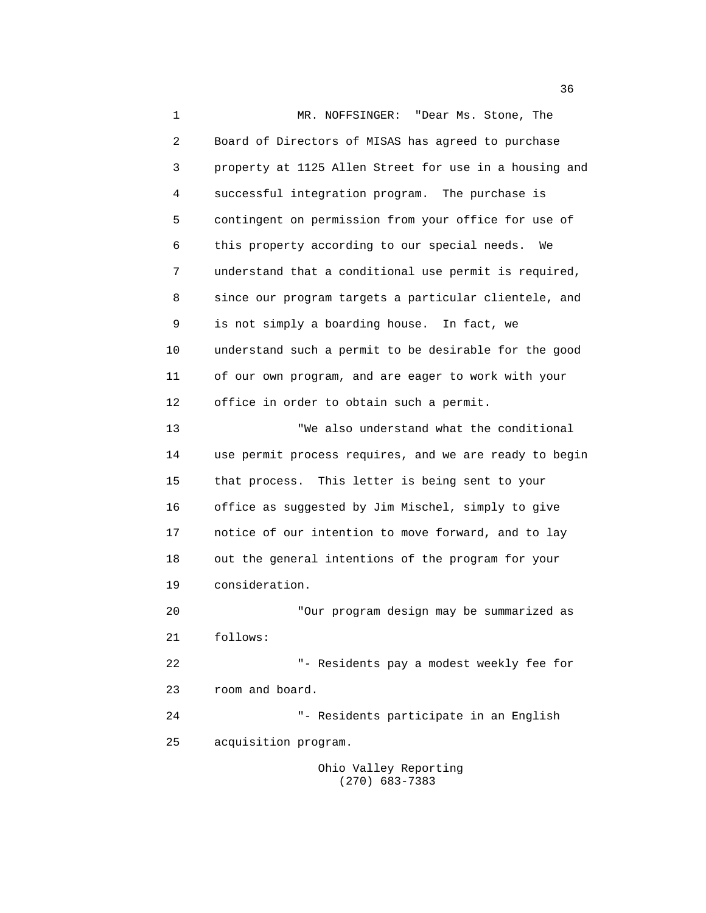1 MR. NOFFSINGER: "Dear Ms. Stone, The 2 Board of Directors of MISAS has agreed to purchase 3 property at 1125 Allen Street for use in a housing and 4 successful integration program. The purchase is 5 contingent on permission from your office for use of 6 this property according to our special needs. We 7 understand that a conditional use permit is required, 8 since our program targets a particular clientele, and 9 is not simply a boarding house. In fact, we 10 understand such a permit to be desirable for the good 11 of our own program, and are eager to work with your 12 office in order to obtain such a permit. 13 "We also understand what the conditional 14 use permit process requires, and we are ready to begin 15 that process. This letter is being sent to your 16 office as suggested by Jim Mischel, simply to give 17 notice of our intention to move forward, and to lay 18 out the general intentions of the program for your 19 consideration. 20 "Our program design may be summarized as 21 follows: 22 "- Residents pay a modest weekly fee for 23 room and board. 24 "- Residents participate in an English 25 acquisition program. Ohio Valley Reporting

(270) 683-7383

 $36<sup>2</sup>$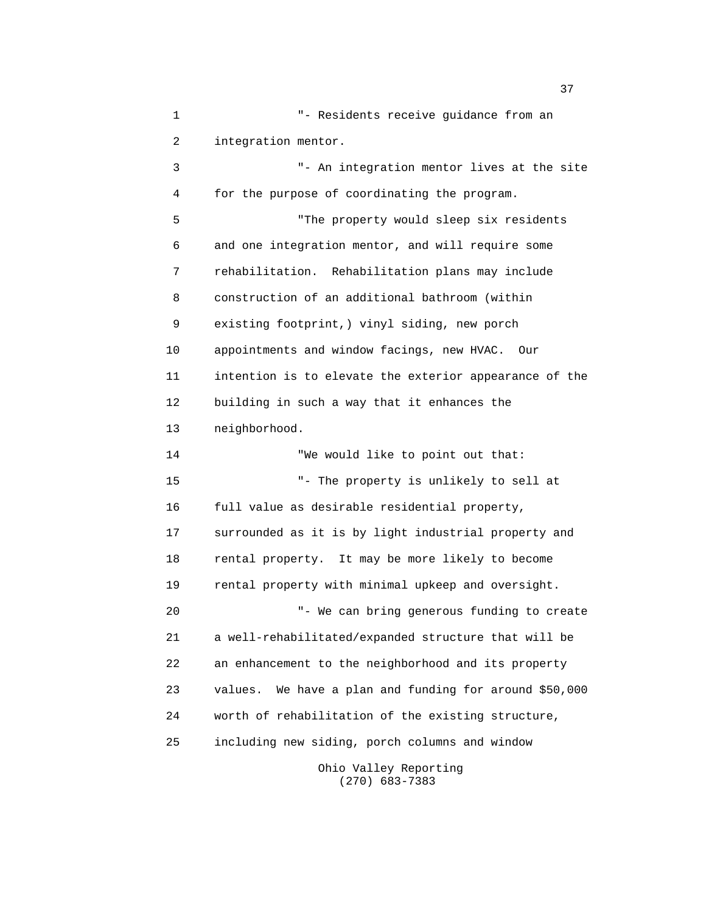1 "- Residents receive guidance from an 2 integration mentor. 3 "- An integration mentor lives at the site 4 for the purpose of coordinating the program. 5 "The property would sleep six residents 6 and one integration mentor, and will require some 7 rehabilitation. Rehabilitation plans may include 8 construction of an additional bathroom (within 9 existing footprint,) vinyl siding, new porch 10 appointments and window facings, new HVAC. Our 11 intention is to elevate the exterior appearance of the 12 building in such a way that it enhances the 13 neighborhood. 14 "We would like to point out that: 15 "- The property is unlikely to sell at 16 full value as desirable residential property, 17 surrounded as it is by light industrial property and 18 rental property. It may be more likely to become 19 rental property with minimal upkeep and oversight. 20 "- We can bring generous funding to create 21 a well-rehabilitated/expanded structure that will be 22 an enhancement to the neighborhood and its property 23 values. We have a plan and funding for around \$50,000 24 worth of rehabilitation of the existing structure, 25 including new siding, porch columns and window Ohio Valley Reporting

(270) 683-7383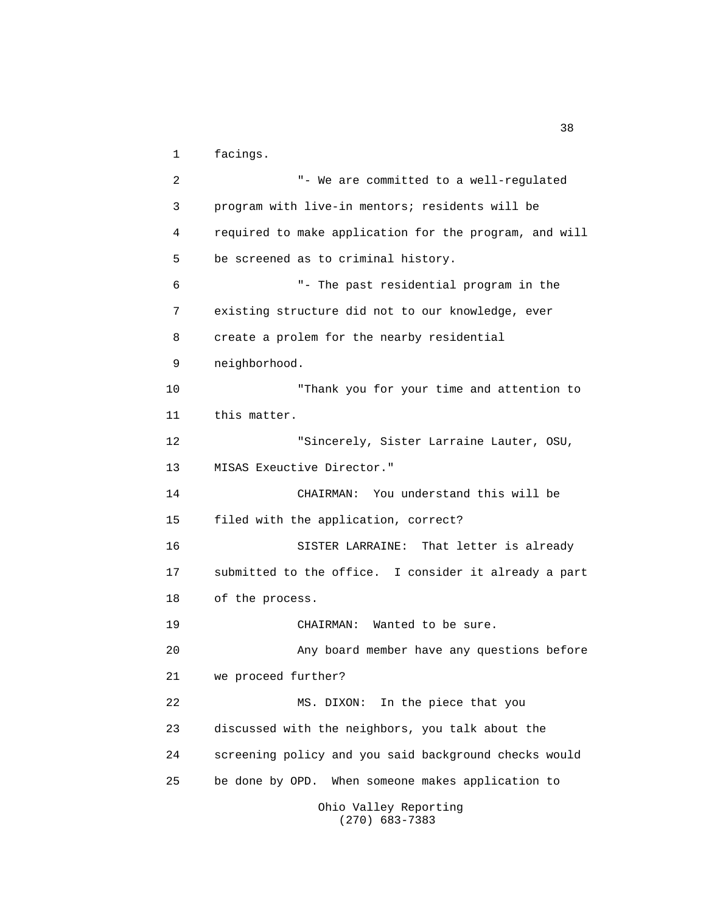1 facings.

 2 "- We are committed to a well-regulated 3 program with live-in mentors; residents will be 4 required to make application for the program, and will 5 be screened as to criminal history. 6 "- The past residential program in the 7 existing structure did not to our knowledge, ever 8 create a prolem for the nearby residential 9 neighborhood. 10 "Thank you for your time and attention to 11 this matter. 12 "Sincerely, Sister Larraine Lauter, OSU, 13 MISAS Exeuctive Director." 14 CHAIRMAN: You understand this will be 15 filed with the application, correct? 16 SISTER LARRAINE: That letter is already 17 submitted to the office. I consider it already a part 18 of the process. 19 CHAIRMAN: Wanted to be sure. 20 Any board member have any questions before 21 we proceed further? 22 MS. DIXON: In the piece that you 23 discussed with the neighbors, you talk about the 24 screening policy and you said background checks would 25 be done by OPD. When someone makes application to Ohio Valley Reporting

(270) 683-7383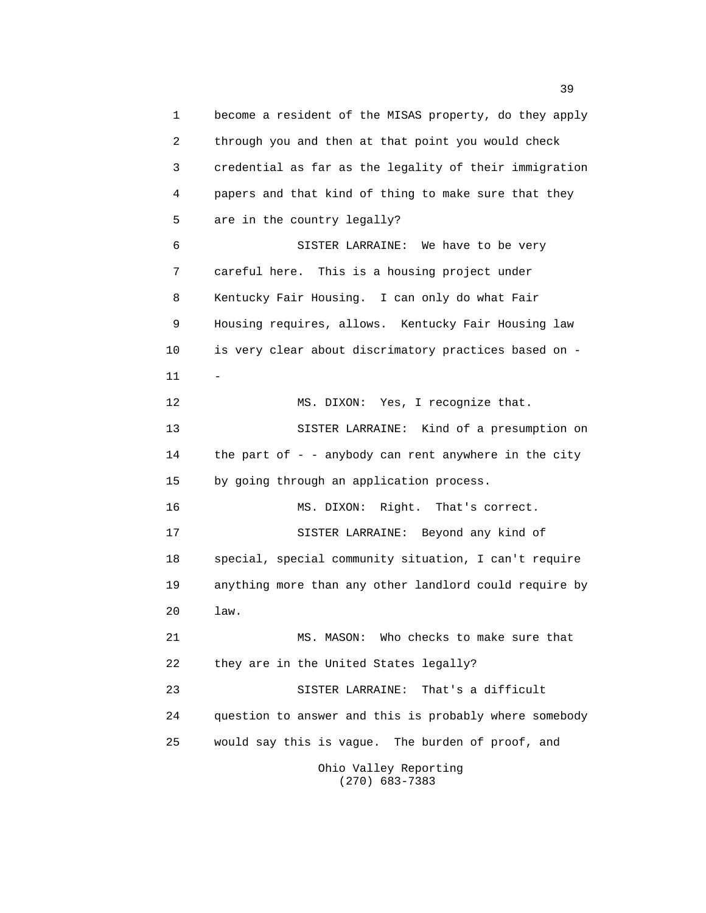1 become a resident of the MISAS property, do they apply 2 through you and then at that point you would check 3 credential as far as the legality of their immigration 4 papers and that kind of thing to make sure that they 5 are in the country legally? 6 SISTER LARRAINE: We have to be very 7 careful here. This is a housing project under 8 Kentucky Fair Housing. I can only do what Fair 9 Housing requires, allows. Kentucky Fair Housing law 10 is very clear about discrimatory practices based on - 11 - 12 MS. DIXON: Yes, I recognize that. 13 SISTER LARRAINE: Kind of a presumption on 14 the part of - - anybody can rent anywhere in the city 15 by going through an application process. 16 MS. DIXON: Right. That's correct. 17 SISTER LARRAINE: Beyond any kind of 18 special, special community situation, I can't require 19 anything more than any other landlord could require by 20 law. 21 MS. MASON: Who checks to make sure that 22 they are in the United States legally? 23 SISTER LARRAINE: That's a difficult 24 question to answer and this is probably where somebody 25 would say this is vague. The burden of proof, and Ohio Valley Reporting (270) 683-7383

<u>39</u>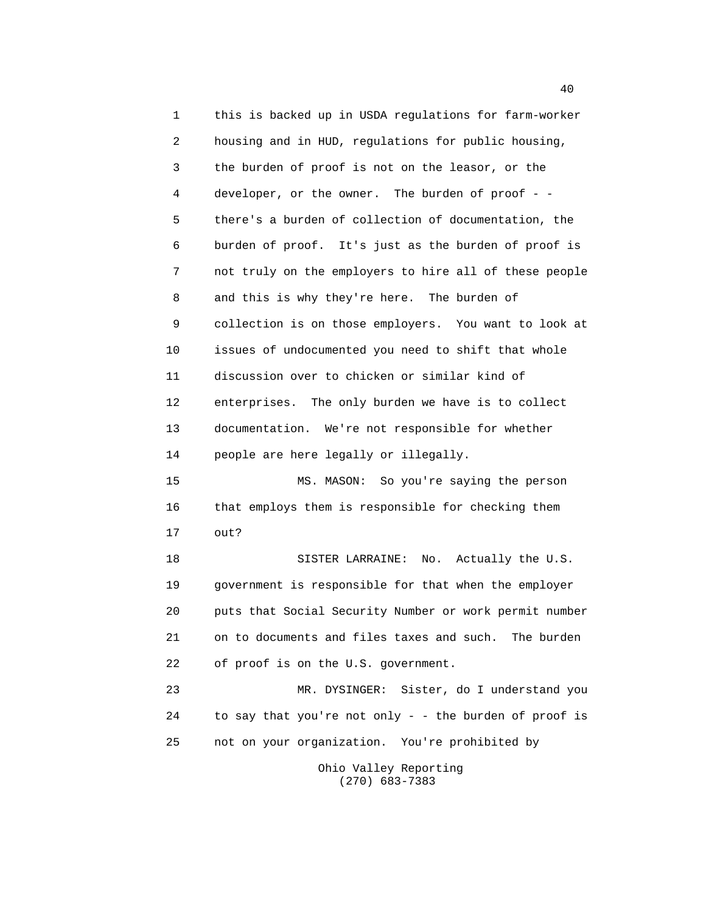1 this is backed up in USDA regulations for farm-worker 2 housing and in HUD, regulations for public housing, 3 the burden of proof is not on the leasor, or the 4 developer, or the owner. The burden of proof - - 5 there's a burden of collection of documentation, the 6 burden of proof. It's just as the burden of proof is 7 not truly on the employers to hire all of these people 8 and this is why they're here. The burden of 9 collection is on those employers. You want to look at 10 issues of undocumented you need to shift that whole 11 discussion over to chicken or similar kind of 12 enterprises. The only burden we have is to collect 13 documentation. We're not responsible for whether 14 people are here legally or illegally. 15 MS. MASON: So you're saying the person 16 that employs them is responsible for checking them 17 out? 18 SISTER LARRAINE: No. Actually the U.S. 19 government is responsible for that when the employer 20 puts that Social Security Number or work permit number 21 on to documents and files taxes and such. The burden 22 of proof is on the U.S. government. 23 MR. DYSINGER: Sister, do I understand you 24 to say that you're not only - - the burden of proof is 25 not on your organization. You're prohibited by Ohio Valley Reporting

(270) 683-7383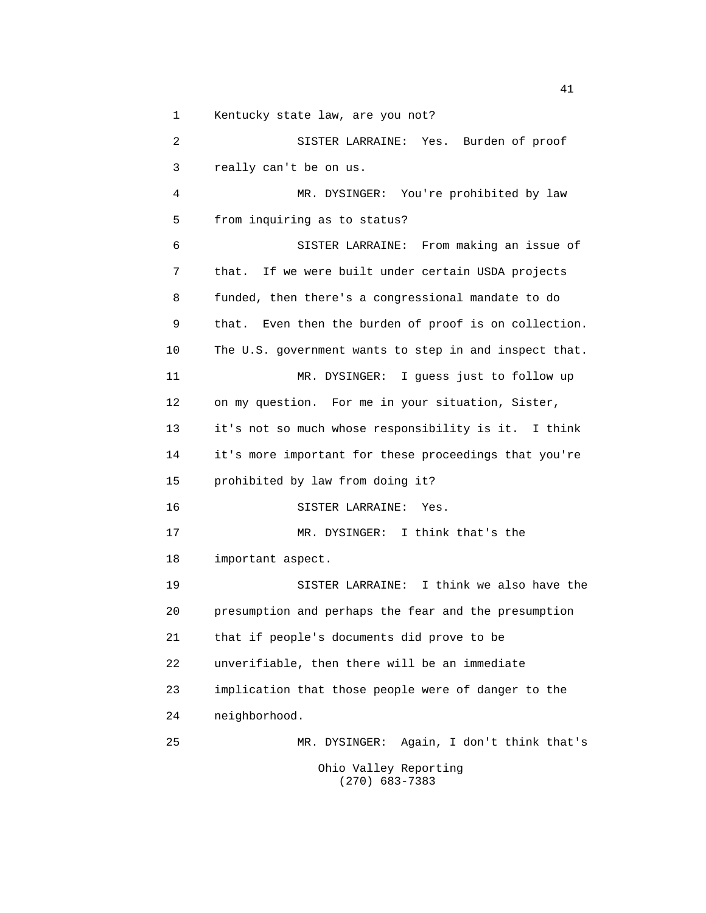1 Kentucky state law, are you not?

 2 SISTER LARRAINE: Yes. Burden of proof 3 really can't be on us. 4 MR. DYSINGER: You're prohibited by law 5 from inquiring as to status? 6 SISTER LARRAINE: From making an issue of 7 that. If we were built under certain USDA projects 8 funded, then there's a congressional mandate to do 9 that. Even then the burden of proof is on collection. 10 The U.S. government wants to step in and inspect that. 11 MR. DYSINGER: I guess just to follow up 12 on my question. For me in your situation, Sister, 13 it's not so much whose responsibility is it. I think 14 it's more important for these proceedings that you're 15 prohibited by law from doing it? 16 SISTER LARRAINE: Yes. 17 MR. DYSINGER: I think that's the 18 important aspect. 19 SISTER LARRAINE: I think we also have the 20 presumption and perhaps the fear and the presumption 21 that if people's documents did prove to be 22 unverifiable, then there will be an immediate 23 implication that those people were of danger to the 24 neighborhood. 25 MR. DYSINGER: Again, I don't think that's Ohio Valley Reporting (270) 683-7383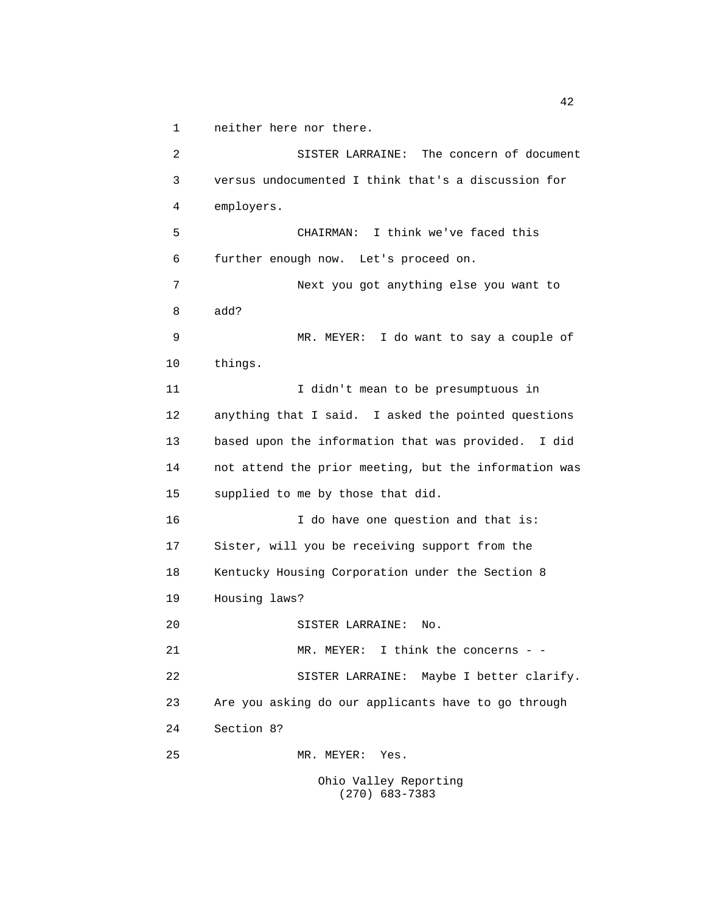1 neither here nor there.

 2 SISTER LARRAINE: The concern of document 3 versus undocumented I think that's a discussion for 4 employers. 5 CHAIRMAN: I think we've faced this 6 further enough now. Let's proceed on. 7 Next you got anything else you want to 8 add? 9 MR. MEYER: I do want to say a couple of 10 things. 11 I didn't mean to be presumptuous in 12 anything that I said. I asked the pointed questions 13 based upon the information that was provided. I did 14 not attend the prior meeting, but the information was 15 supplied to me by those that did. 16 I do have one question and that is: 17 Sister, will you be receiving support from the 18 Kentucky Housing Corporation under the Section 8 19 Housing laws? 20 SISTER LARRAINE: No. 21 MR. MEYER: I think the concerns - - 22 SISTER LARRAINE: Maybe I better clarify. 23 Are you asking do our applicants have to go through 24 Section 8? 25 MR. MEYER: Yes.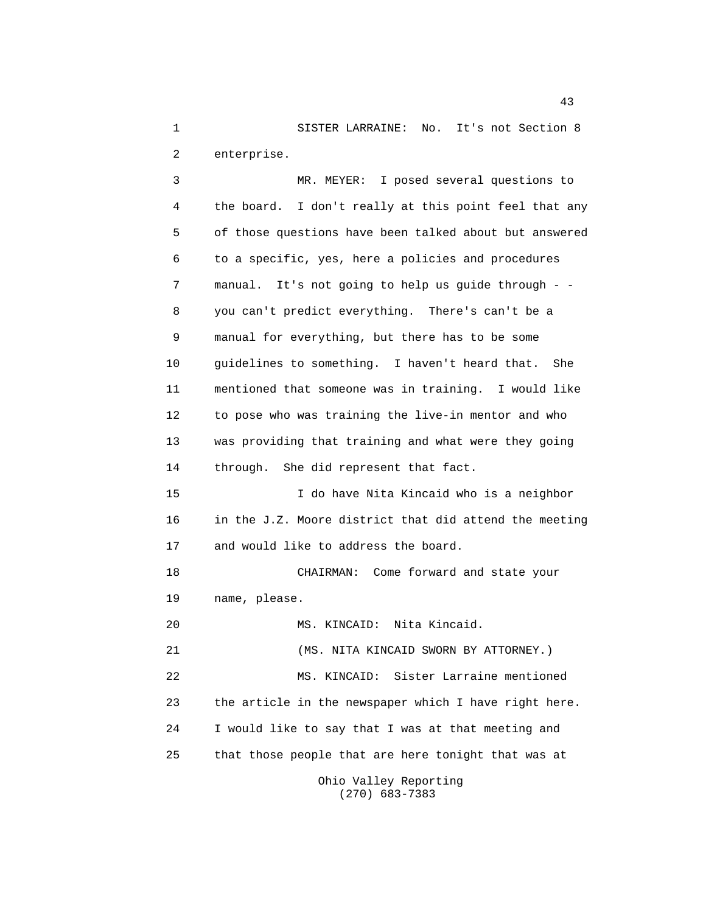1 SISTER LARRAINE: No. It's not Section 8 2 enterprise.

 3 MR. MEYER: I posed several questions to 4 the board. I don't really at this point feel that any 5 of those questions have been talked about but answered 6 to a specific, yes, here a policies and procedures 7 manual. It's not going to help us guide through - - 8 you can't predict everything. There's can't be a 9 manual for everything, but there has to be some 10 guidelines to something. I haven't heard that. She 11 mentioned that someone was in training. I would like 12 to pose who was training the live-in mentor and who 13 was providing that training and what were they going 14 through. She did represent that fact. 15 I do have Nita Kincaid who is a neighbor 16 in the J.Z. Moore district that did attend the meeting 17 and would like to address the board. 18 CHAIRMAN: Come forward and state your 19 name, please. 20 MS. KINCAID: Nita Kincaid. 21 (MS. NITA KINCAID SWORN BY ATTORNEY.) 22 MS. KINCAID: Sister Larraine mentioned 23 the article in the newspaper which I have right here. 24 I would like to say that I was at that meeting and 25 that those people that are here tonight that was at

 Ohio Valley Reporting (270) 683-7383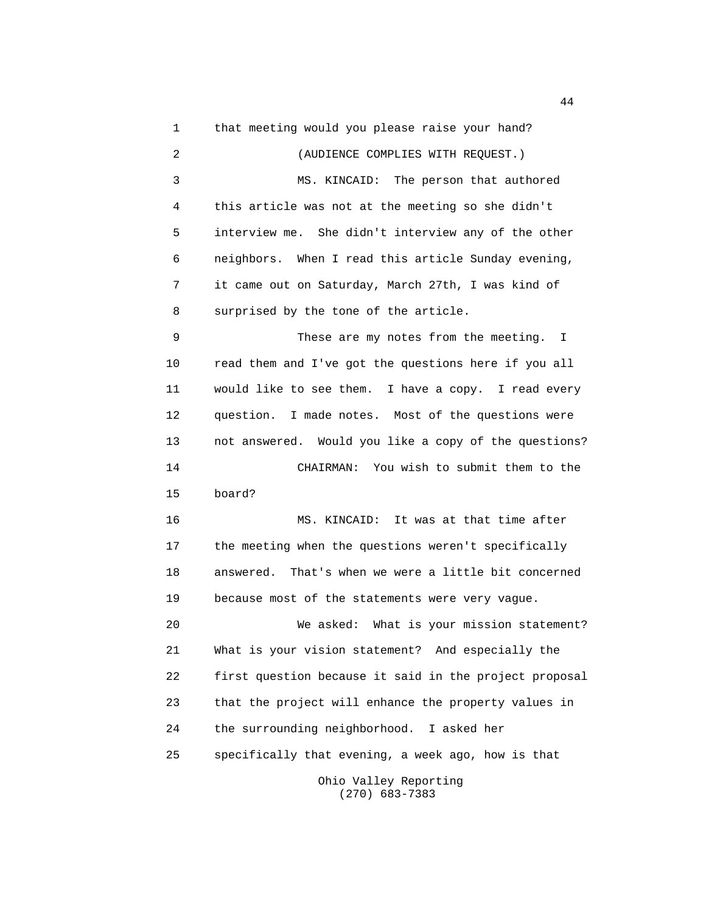1 that meeting would you please raise your hand? 2 (AUDIENCE COMPLIES WITH REQUEST.) 3 MS. KINCAID: The person that authored 4 this article was not at the meeting so she didn't 5 interview me. She didn't interview any of the other 6 neighbors. When I read this article Sunday evening, 7 it came out on Saturday, March 27th, I was kind of 8 surprised by the tone of the article. 9 These are my notes from the meeting. I 10 read them and I've got the questions here if you all 11 would like to see them. I have a copy. I read every 12 question. I made notes. Most of the questions were 13 not answered. Would you like a copy of the questions? 14 CHAIRMAN: You wish to submit them to the 15 board? 16 MS. KINCAID: It was at that time after 17 the meeting when the questions weren't specifically 18 answered. That's when we were a little bit concerned 19 because most of the statements were very vague. 20 We asked: What is your mission statement? 21 What is your vision statement? And especially the 22 first question because it said in the project proposal 23 that the project will enhance the property values in 24 the surrounding neighborhood. I asked her 25 specifically that evening, a week ago, how is that Ohio Valley Reporting (270) 683-7383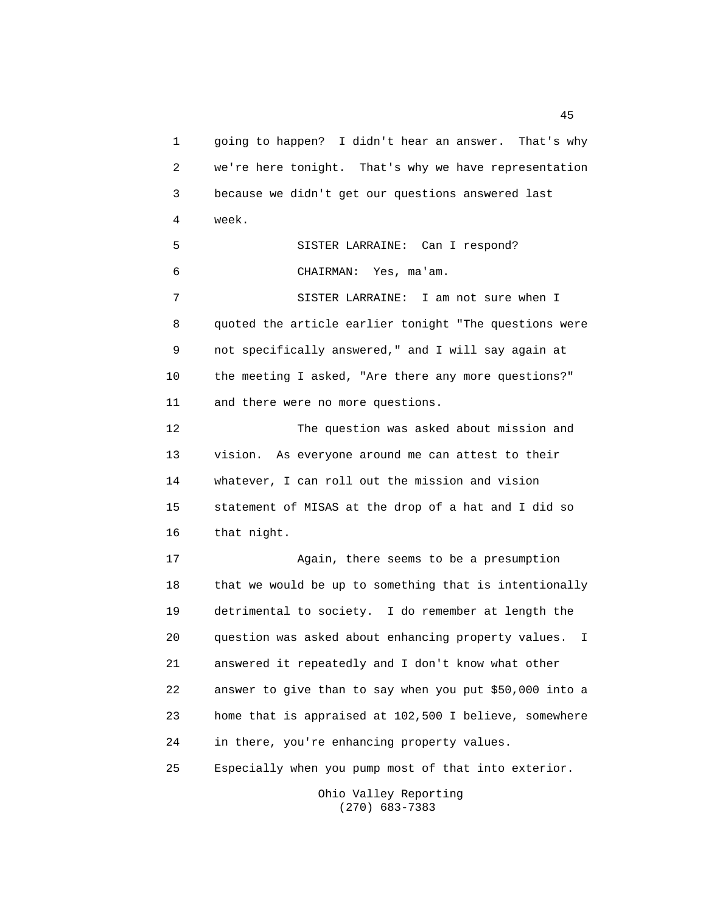1 going to happen? I didn't hear an answer. That's why 2 we're here tonight. That's why we have representation 3 because we didn't get our questions answered last 4 week. 5 SISTER LARRAINE: Can I respond? 6 CHAIRMAN: Yes, ma'am. 7 SISTER LARRAINE: I am not sure when I 8 quoted the article earlier tonight "The questions were 9 not specifically answered," and I will say again at 10 the meeting I asked, "Are there any more questions?" 11 and there were no more questions. 12 The question was asked about mission and 13 vision. As everyone around me can attest to their 14 whatever, I can roll out the mission and vision 15 statement of MISAS at the drop of a hat and I did so 16 that night. 17 Again, there seems to be a presumption 18 that we would be up to something that is intentionally 19 detrimental to society. I do remember at length the 20 question was asked about enhancing property values. I 21 answered it repeatedly and I don't know what other 22 answer to give than to say when you put \$50,000 into a 23 home that is appraised at 102,500 I believe, somewhere 24 in there, you're enhancing property values. 25 Especially when you pump most of that into exterior.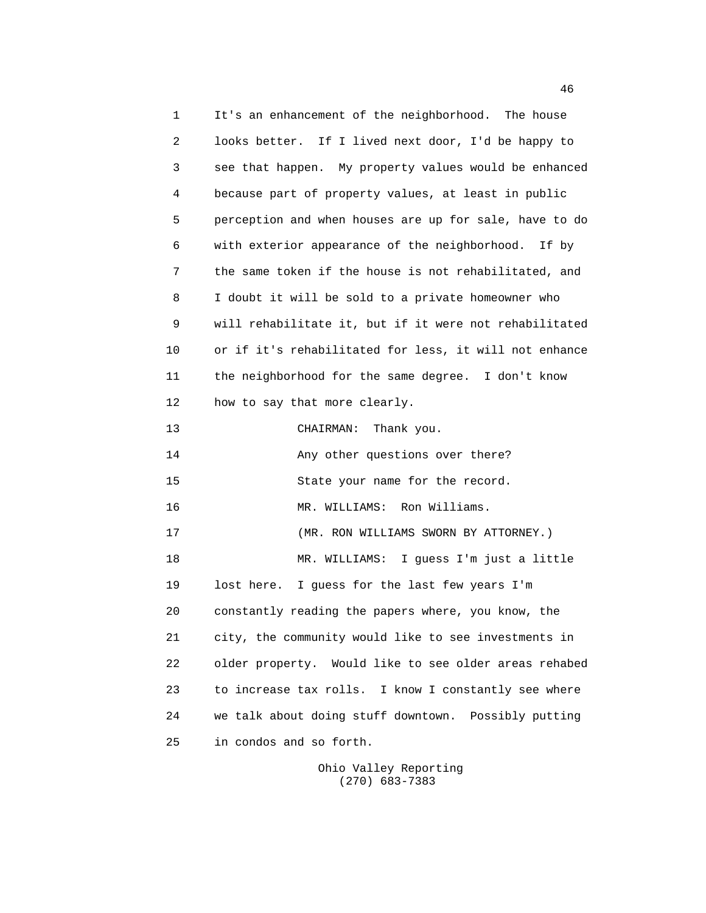1 It's an enhancement of the neighborhood. The house 2 looks better. If I lived next door, I'd be happy to 3 see that happen. My property values would be enhanced 4 because part of property values, at least in public 5 perception and when houses are up for sale, have to do 6 with exterior appearance of the neighborhood. If by 7 the same token if the house is not rehabilitated, and 8 I doubt it will be sold to a private homeowner who 9 will rehabilitate it, but if it were not rehabilitated 10 or if it's rehabilitated for less, it will not enhance 11 the neighborhood for the same degree. I don't know 12 how to say that more clearly. 13 CHAIRMAN: Thank you. 14 Any other questions over there? 15 State your name for the record. 16 MR. WILLIAMS: Ron Williams. 17 (MR. RON WILLIAMS SWORN BY ATTORNEY.) 18 MR. WILLIAMS: I guess I'm just a little 19 lost here. I guess for the last few years I'm 20 constantly reading the papers where, you know, the 21 city, the community would like to see investments in 22 older property. Would like to see older areas rehabed 23 to increase tax rolls. I know I constantly see where 24 we talk about doing stuff downtown. Possibly putting 25 in condos and so forth.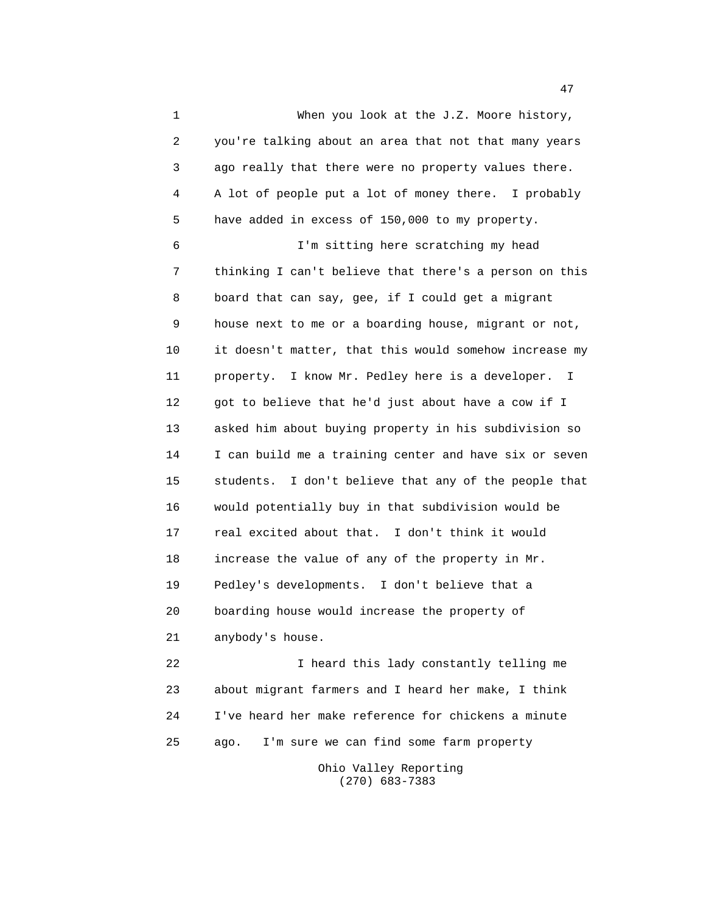1 When you look at the J.Z. Moore history, 2 you're talking about an area that not that many years 3 ago really that there were no property values there. 4 A lot of people put a lot of money there. I probably 5 have added in excess of 150,000 to my property. 6 I'm sitting here scratching my head 7 thinking I can't believe that there's a person on this 8 board that can say, gee, if I could get a migrant 9 house next to me or a boarding house, migrant or not, 10 it doesn't matter, that this would somehow increase my 11 property. I know Mr. Pedley here is a developer. I 12 got to believe that he'd just about have a cow if I 13 asked him about buying property in his subdivision so 14 I can build me a training center and have six or seven 15 students. I don't believe that any of the people that 16 would potentially buy in that subdivision would be 17 real excited about that. I don't think it would 18 increase the value of any of the property in Mr. 19 Pedley's developments. I don't believe that a 20 boarding house would increase the property of 21 anybody's house.

 22 I heard this lady constantly telling me 23 about migrant farmers and I heard her make, I think 24 I've heard her make reference for chickens a minute 25 ago. I'm sure we can find some farm property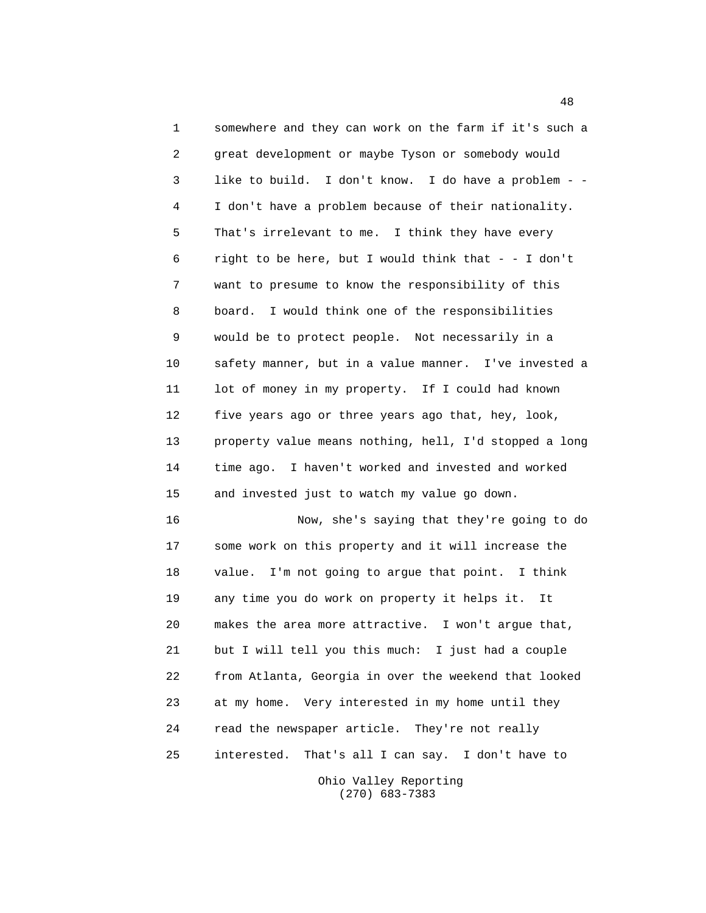1 somewhere and they can work on the farm if it's such a 2 great development or maybe Tyson or somebody would 3 like to build. I don't know. I do have a problem - - 4 I don't have a problem because of their nationality. 5 That's irrelevant to me. I think they have every 6 right to be here, but I would think that - - I don't 7 want to presume to know the responsibility of this 8 board. I would think one of the responsibilities 9 would be to protect people. Not necessarily in a 10 safety manner, but in a value manner. I've invested a 11 lot of money in my property. If I could had known 12 five years ago or three years ago that, hey, look, 13 property value means nothing, hell, I'd stopped a long 14 time ago. I haven't worked and invested and worked 15 and invested just to watch my value go down. 16 Now, she's saying that they're going to do 17 some work on this property and it will increase the 18 value. I'm not going to argue that point. I think 19 any time you do work on property it helps it. It 20 makes the area more attractive. I won't argue that, 21 but I will tell you this much: I just had a couple 22 from Atlanta, Georgia in over the weekend that looked 23 at my home. Very interested in my home until they 24 read the newspaper article. They're not really 25 interested. That's all I can say. I don't have to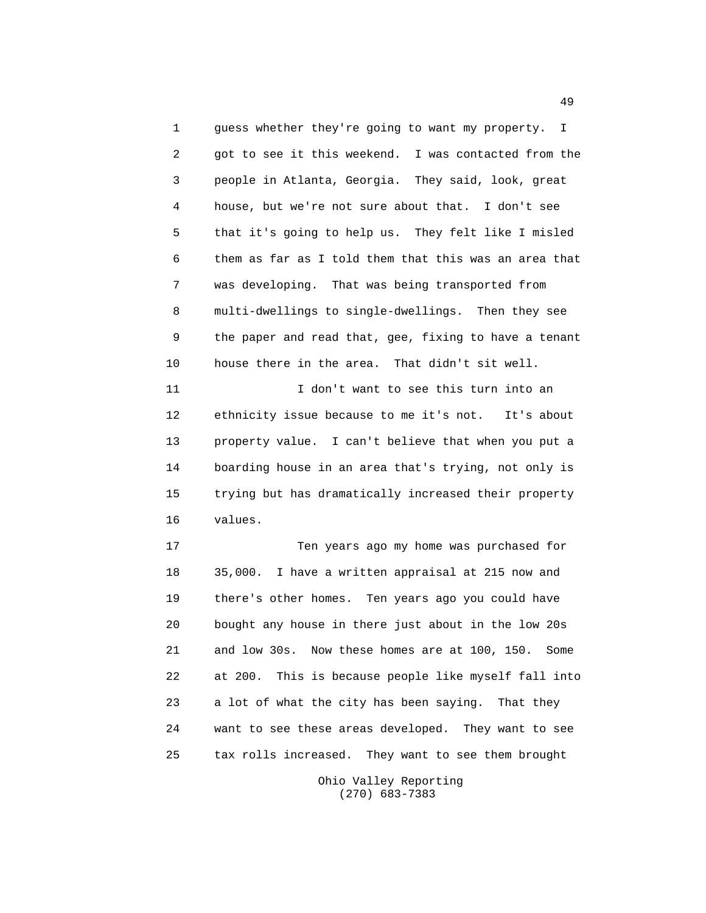1 guess whether they're going to want my property. I 2 got to see it this weekend. I was contacted from the 3 people in Atlanta, Georgia. They said, look, great 4 house, but we're not sure about that. I don't see 5 that it's going to help us. They felt like I misled 6 them as far as I told them that this was an area that 7 was developing. That was being transported from 8 multi-dwellings to single-dwellings. Then they see 9 the paper and read that, gee, fixing to have a tenant 10 house there in the area. That didn't sit well.

 11 I don't want to see this turn into an 12 ethnicity issue because to me it's not. It's about 13 property value. I can't believe that when you put a 14 boarding house in an area that's trying, not only is 15 trying but has dramatically increased their property 16 values.

 17 Ten years ago my home was purchased for 18 35,000. I have a written appraisal at 215 now and 19 there's other homes. Ten years ago you could have 20 bought any house in there just about in the low 20s 21 and low 30s. Now these homes are at 100, 150. Some 22 at 200. This is because people like myself fall into 23 a lot of what the city has been saying. That they 24 want to see these areas developed. They want to see 25 tax rolls increased. They want to see them brought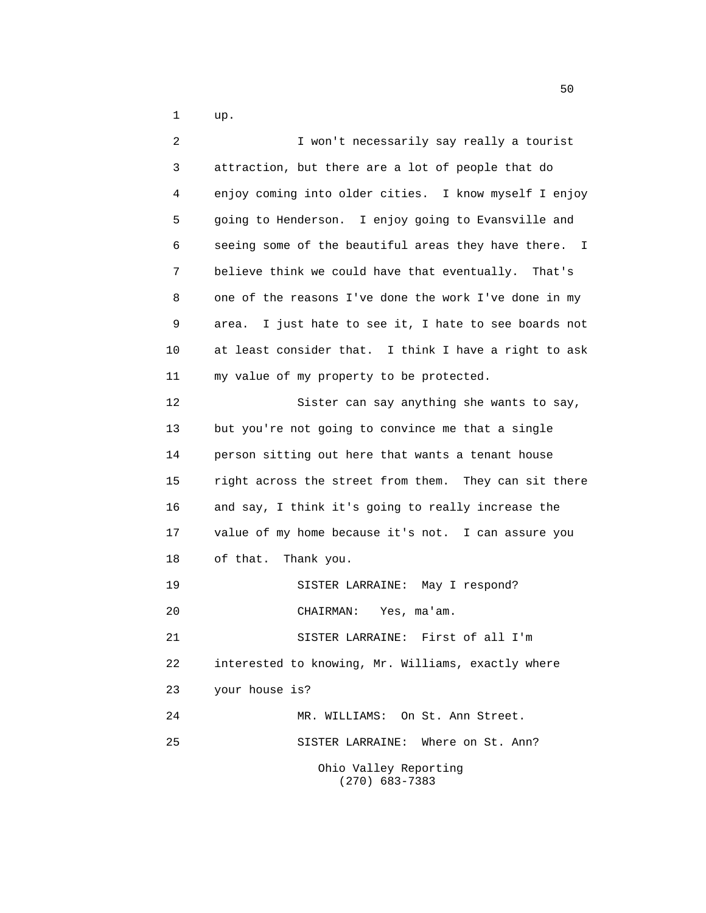1 up.

| 2  | I won't necessarily say really a tourist                 |
|----|----------------------------------------------------------|
| 3  | attraction, but there are a lot of people that do        |
| 4  | enjoy coming into older cities. I know myself I enjoy    |
| 5  | going to Henderson. I enjoy going to Evansville and      |
| 6  | seeing some of the beautiful areas they have there. I    |
| 7  | believe think we could have that eventually. That's      |
| 8  | one of the reasons I've done the work I've done in my    |
| 9  | I just hate to see it, I hate to see boards not<br>area. |
| 10 | at least consider that. I think I have a right to ask    |
| 11 | my value of my property to be protected.                 |
| 12 | Sister can say anything she wants to say,                |
| 13 | but you're not going to convince me that a single        |
| 14 | person sitting out here that wants a tenant house        |
| 15 | right across the street from them. They can sit there    |
| 16 | and say, I think it's going to really increase the       |
| 17 | value of my home because it's not. I can assure you      |
| 18 | of that. Thank you.                                      |
| 19 | SISTER LARRAINE: May I respond?                          |
| 20 | Yes, ma'am.<br>CHAIRMAN:                                 |
| 21 | SISTER LARRAINE: First of all I'm                        |
| 22 | interested to knowing, Mr. Williams, exactly where       |
| 23 | your house is?                                           |
| 24 | MR. WILLIAMS: On St. Ann Street.                         |
| 25 | Where on St. Ann?<br>SISTER LARRAINE:                    |
|    | Ohio Valley Reporting<br>$(270)$ 683-7383                |

 $50<sub>50</sub>$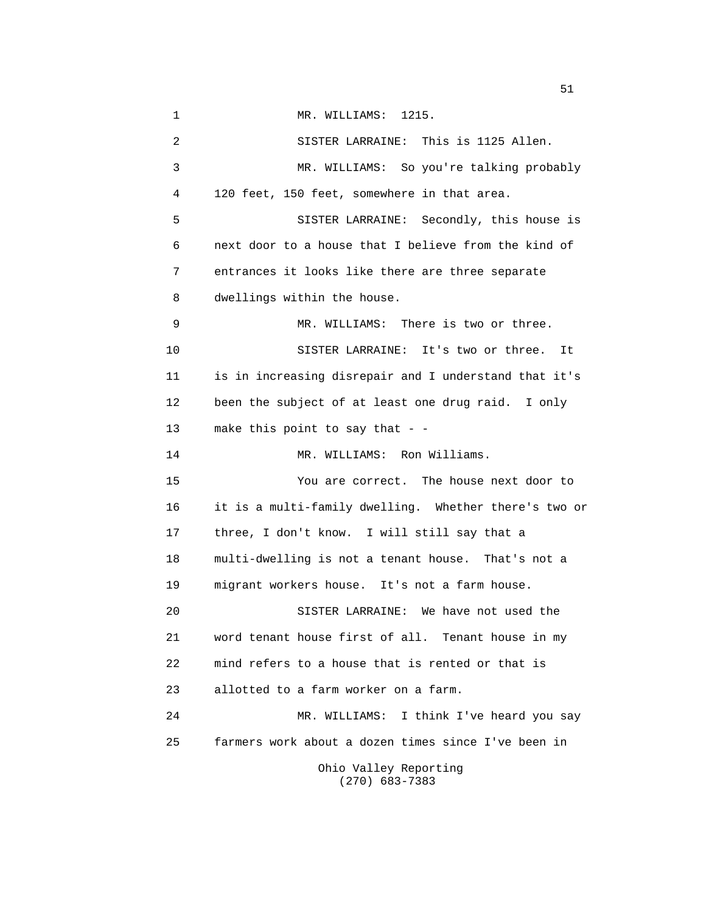1 MR. WILLIAMS: 1215. 2 SISTER LARRAINE: This is 1125 Allen. 3 MR. WILLIAMS: So you're talking probably 4 120 feet, 150 feet, somewhere in that area. 5 SISTER LARRAINE: Secondly, this house is 6 next door to a house that I believe from the kind of 7 entrances it looks like there are three separate 8 dwellings within the house. 9 MR. WILLIAMS: There is two or three. 10 SISTER LARRAINE: It's two or three. It 11 is in increasing disrepair and I understand that it's 12 been the subject of at least one drug raid. I only 13 make this point to say that - - 14 MR. WILLIAMS: Ron Williams. 15 You are correct. The house next door to 16 it is a multi-family dwelling. Whether there's two or 17 three, I don't know. I will still say that a 18 multi-dwelling is not a tenant house. That's not a 19 migrant workers house. It's not a farm house. 20 SISTER LARRAINE: We have not used the 21 word tenant house first of all. Tenant house in my 22 mind refers to a house that is rented or that is 23 allotted to a farm worker on a farm. 24 MR. WILLIAMS: I think I've heard you say 25 farmers work about a dozen times since I've been in Ohio Valley Reporting (270) 683-7383

 $\sim$  51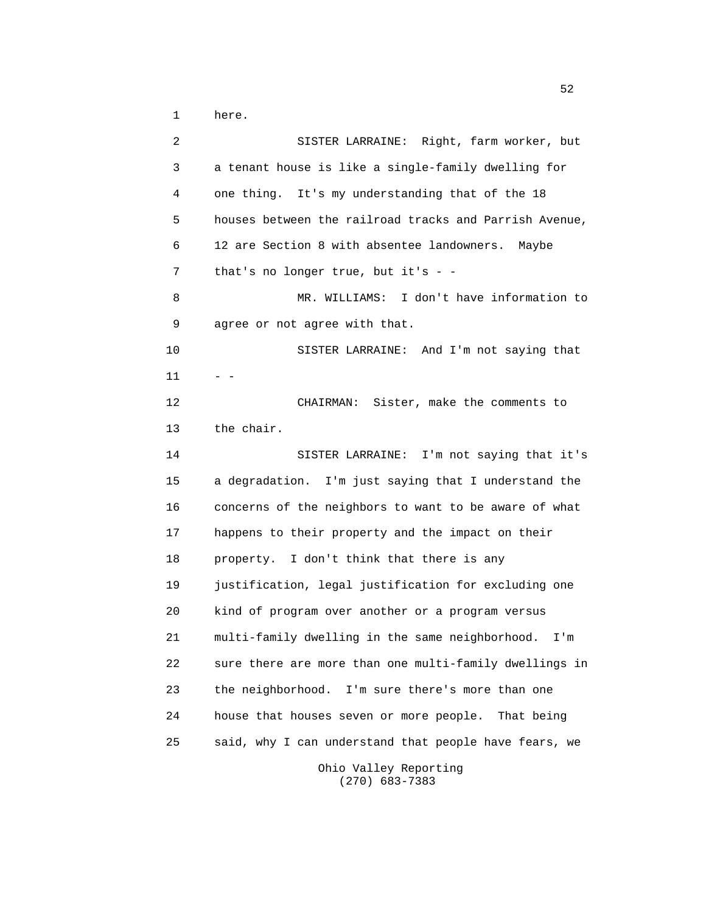1 here.

 2 SISTER LARRAINE: Right, farm worker, but 3 a tenant house is like a single-family dwelling for 4 one thing. It's my understanding that of the 18 5 houses between the railroad tracks and Parrish Avenue, 6 12 are Section 8 with absentee landowners. Maybe 7 that's no longer true, but it's - - 8 MR. WILLIAMS: I don't have information to 9 agree or not agree with that. 10 SISTER LARRAINE: And I'm not saying that  $11 - -$  12 CHAIRMAN: Sister, make the comments to 13 the chair. 14 SISTER LARRAINE: I'm not saying that it's 15 a degradation. I'm just saying that I understand the 16 concerns of the neighbors to want to be aware of what 17 happens to their property and the impact on their 18 property. I don't think that there is any 19 justification, legal justification for excluding one 20 kind of program over another or a program versus 21 multi-family dwelling in the same neighborhood. I'm 22 sure there are more than one multi-family dwellings in 23 the neighborhood. I'm sure there's more than one 24 house that houses seven or more people. That being 25 said, why I can understand that people have fears, we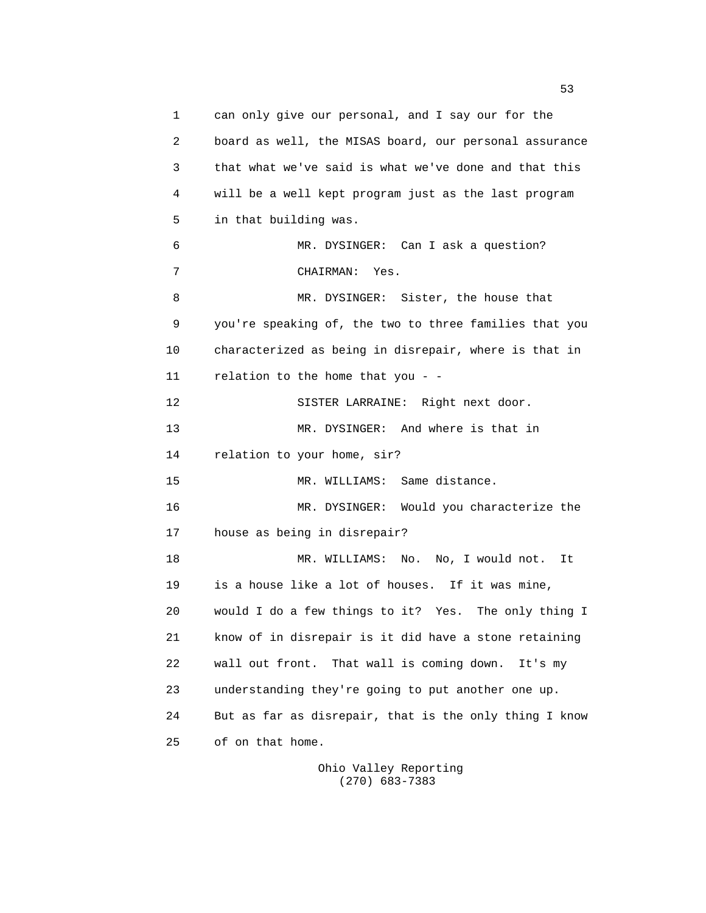1 can only give our personal, and I say our for the 2 board as well, the MISAS board, our personal assurance 3 that what we've said is what we've done and that this 4 will be a well kept program just as the last program 5 in that building was. 6 MR. DYSINGER: Can I ask a question? 7 CHAIRMAN: Yes. 8 MR. DYSINGER: Sister, the house that 9 you're speaking of, the two to three families that you 10 characterized as being in disrepair, where is that in 11 relation to the home that you - - 12 SISTER LARRAINE: Right next door. 13 MR. DYSINGER: And where is that in 14 relation to your home, sir? 15 MR. WILLIAMS: Same distance. 16 MR. DYSINGER: Would you characterize the 17 house as being in disrepair? 18 MR. WILLIAMS: No. No, I would not. It 19 is a house like a lot of houses. If it was mine, 20 would I do a few things to it? Yes. The only thing I 21 know of in disrepair is it did have a stone retaining 22 wall out front. That wall is coming down. It's my 23 understanding they're going to put another one up. 24 But as far as disrepair, that is the only thing I know 25 of on that home.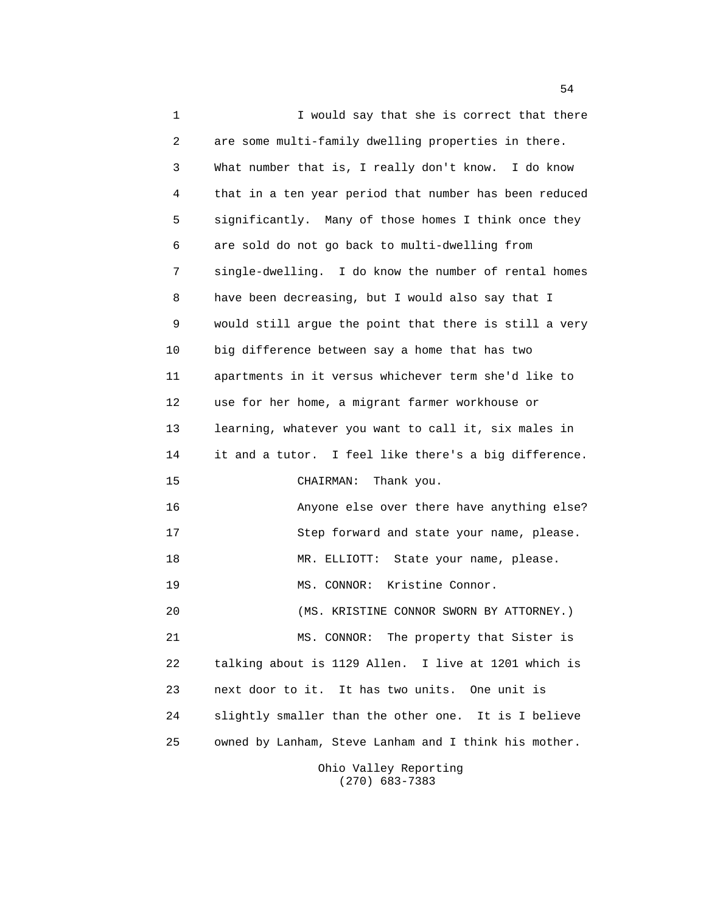1 I would say that she is correct that there 2 are some multi-family dwelling properties in there. 3 What number that is, I really don't know. I do know 4 that in a ten year period that number has been reduced 5 significantly. Many of those homes I think once they 6 are sold do not go back to multi-dwelling from 7 single-dwelling. I do know the number of rental homes 8 have been decreasing, but I would also say that I 9 would still argue the point that there is still a very 10 big difference between say a home that has two 11 apartments in it versus whichever term she'd like to 12 use for her home, a migrant farmer workhouse or 13 learning, whatever you want to call it, six males in 14 it and a tutor. I feel like there's a big difference. 15 CHAIRMAN: Thank you. 16 Anyone else over there have anything else? 17 Step forward and state your name, please. 18 MR. ELLIOTT: State your name, please. 19 MS. CONNOR: Kristine Connor. 20 (MS. KRISTINE CONNOR SWORN BY ATTORNEY.) 21 MS. CONNOR: The property that Sister is 22 talking about is 1129 Allen. I live at 1201 which is 23 next door to it. It has two units. One unit is 24 slightly smaller than the other one. It is I believe 25 owned by Lanham, Steve Lanham and I think his mother. Ohio Valley Reporting

(270) 683-7383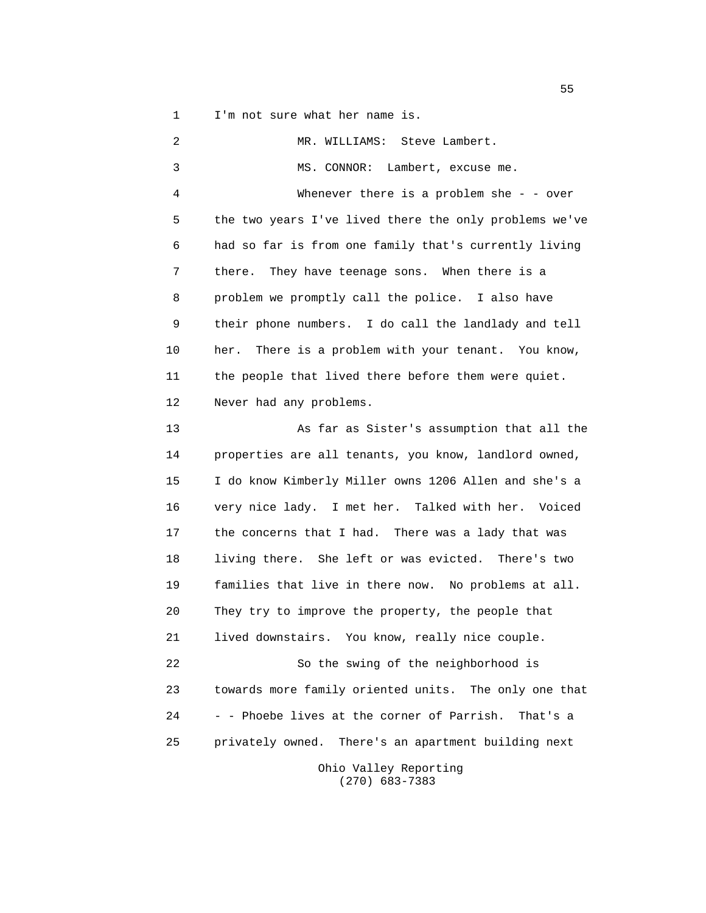1 I'm not sure what her name is.

 2 MR. WILLIAMS: Steve Lambert. 3 MS. CONNOR: Lambert, excuse me. 4 Whenever there is a problem she - - over 5 the two years I've lived there the only problems we've 6 had so far is from one family that's currently living 7 there. They have teenage sons. When there is a 8 problem we promptly call the police. I also have 9 their phone numbers. I do call the landlady and tell 10 her. There is a problem with your tenant. You know, 11 the people that lived there before them were quiet. 12 Never had any problems. 13 As far as Sister's assumption that all the 14 properties are all tenants, you know, landlord owned, 15 I do know Kimberly Miller owns 1206 Allen and she's a 16 very nice lady. I met her. Talked with her. Voiced 17 the concerns that I had. There was a lady that was 18 living there. She left or was evicted. There's two 19 families that live in there now. No problems at all. 20 They try to improve the property, the people that 21 lived downstairs. You know, really nice couple. 22 So the swing of the neighborhood is 23 towards more family oriented units. The only one that 24 - - Phoebe lives at the corner of Parrish. That's a 25 privately owned. There's an apartment building next Ohio Valley Reporting

(270) 683-7383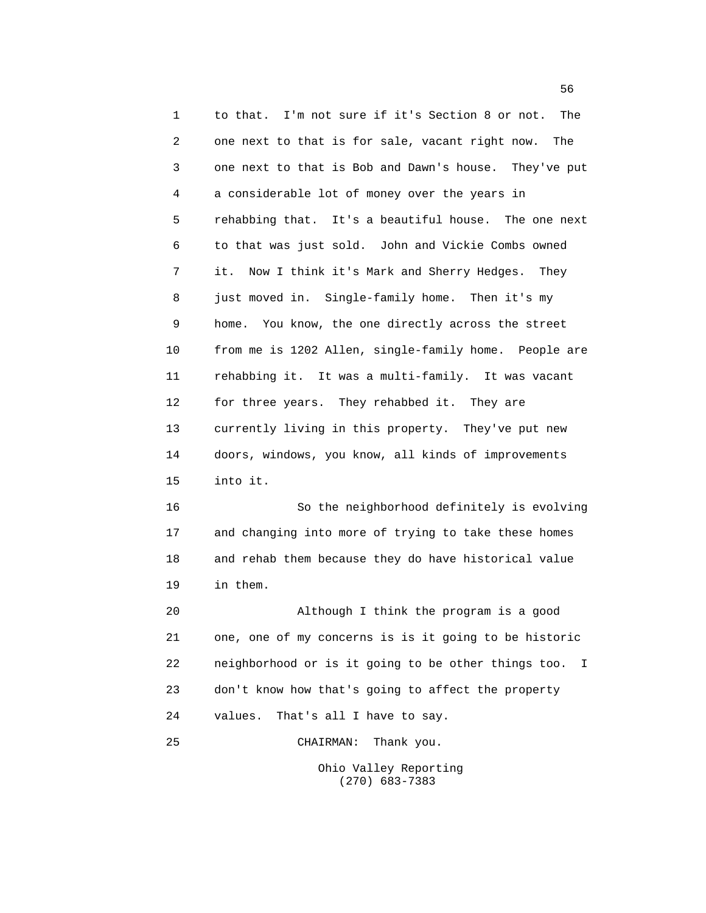1 to that. I'm not sure if it's Section 8 or not. The 2 one next to that is for sale, vacant right now. The 3 one next to that is Bob and Dawn's house. They've put 4 a considerable lot of money over the years in 5 rehabbing that. It's a beautiful house. The one next 6 to that was just sold. John and Vickie Combs owned 7 it. Now I think it's Mark and Sherry Hedges. They 8 just moved in. Single-family home. Then it's my 9 home. You know, the one directly across the street 10 from me is 1202 Allen, single-family home. People are 11 rehabbing it. It was a multi-family. It was vacant 12 for three years. They rehabbed it. They are 13 currently living in this property. They've put new 14 doors, windows, you know, all kinds of improvements 15 into it. 16 So the neighborhood definitely is evolving 17 and changing into more of trying to take these homes 18 and rehab them because they do have historical value 19 in them.

 20 Although I think the program is a good 21 one, one of my concerns is is it going to be historic 22 neighborhood or is it going to be other things too. I 23 don't know how that's going to affect the property 24 values. That's all I have to say.

 25 CHAIRMAN: Thank you. Ohio Valley Reporting (270) 683-7383

 $\sim$  56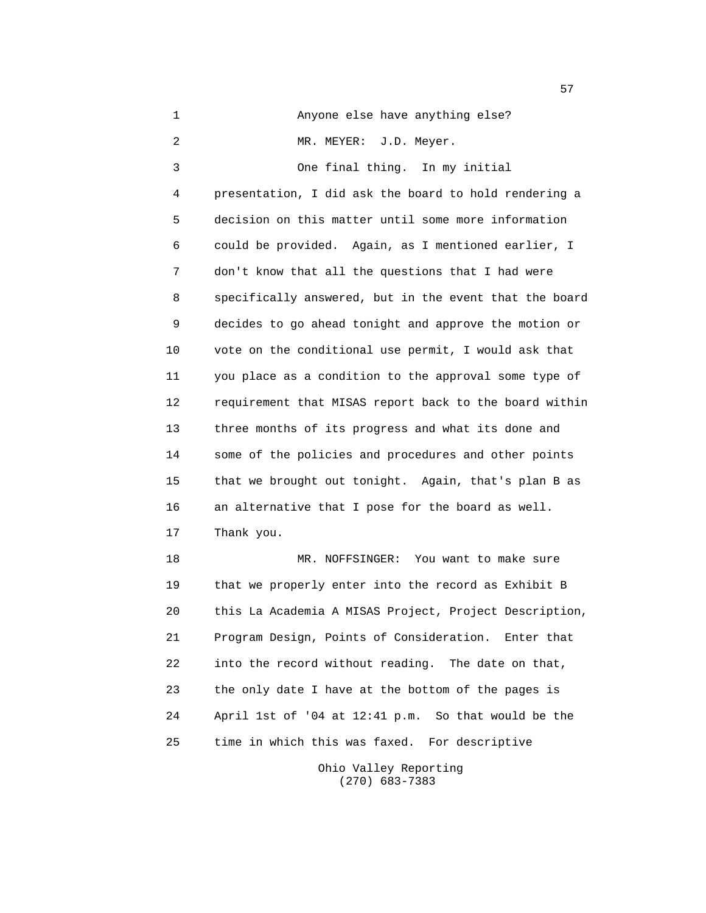| $\mathbf 1$ | Anyone else have anything else?                        |
|-------------|--------------------------------------------------------|
| 2           | MR. MEYER:<br>J.D. Meyer.                              |
| 3           | One final thing.<br>In my initial                      |
| 4           | presentation, I did ask the board to hold rendering a  |
| 5           | decision on this matter until some more information    |
| 6           | could be provided. Again, as I mentioned earlier, I    |
| 7           | don't know that all the questions that I had were      |
| 8           | specifically answered, but in the event that the board |
| 9           | decides to go ahead tonight and approve the motion or  |
| 10          | vote on the conditional use permit, I would ask that   |
| 11          | you place as a condition to the approval some type of  |
| 12          | requirement that MISAS report back to the board within |
| 13          | three months of its progress and what its done and     |
| 14          | some of the policies and procedures and other points   |
| 15          | that we brought out tonight. Again, that's plan B as   |
| 16          | an alternative that I pose for the board as well.      |
| 17          | Thank you.                                             |
| 18          | MR. NOFFSINGER: You want to make sure                  |
| 19          | that we properly enter into the record as Exhibit B    |
| 20          | this La Academia A MISAS Project, Project Description, |
| 21          | Program Design, Points of Consideration. Enter that    |
| 22          | into the record without reading. The date on that,     |
| 23          | the only date I have at the bottom of the pages is     |
| 24          | April 1st of '04 at 12:41 p.m. So that would be the    |
| 25          | time in which this was faxed. For descriptive          |

 Ohio Valley Reporting (270) 683-7383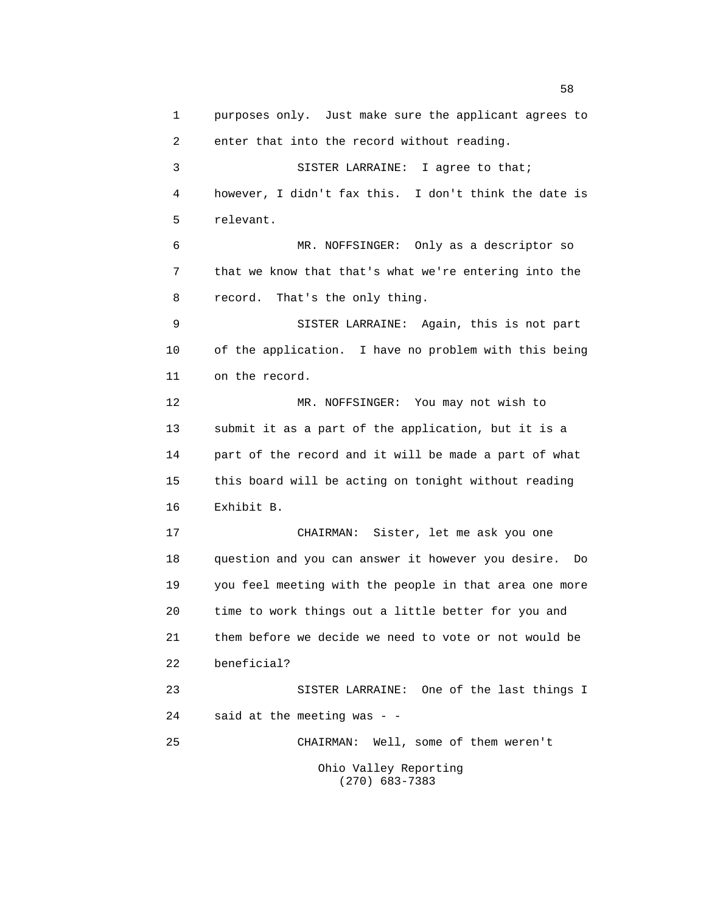1 purposes only. Just make sure the applicant agrees to 2 enter that into the record without reading. 3 SISTER LARRAINE: I agree to that; 4 however, I didn't fax this. I don't think the date is 5 relevant. 6 MR. NOFFSINGER: Only as a descriptor so 7 that we know that that's what we're entering into the 8 record. That's the only thing. 9 SISTER LARRAINE: Again, this is not part 10 of the application. I have no problem with this being 11 on the record. 12 MR. NOFFSINGER: You may not wish to 13 submit it as a part of the application, but it is a 14 part of the record and it will be made a part of what 15 this board will be acting on tonight without reading 16 Exhibit B. 17 CHAIRMAN: Sister, let me ask you one 18 question and you can answer it however you desire. Do 19 you feel meeting with the people in that area one more 20 time to work things out a little better for you and 21 them before we decide we need to vote or not would be 22 beneficial? 23 SISTER LARRAINE: One of the last things I 24 said at the meeting was - - 25 CHAIRMAN: Well, some of them weren't Ohio Valley Reporting (270) 683-7383

the state of the state of the state of the state of the state of the state of the state of the state of the state of the state of the state of the state of the state of the state of the state of the state of the state of t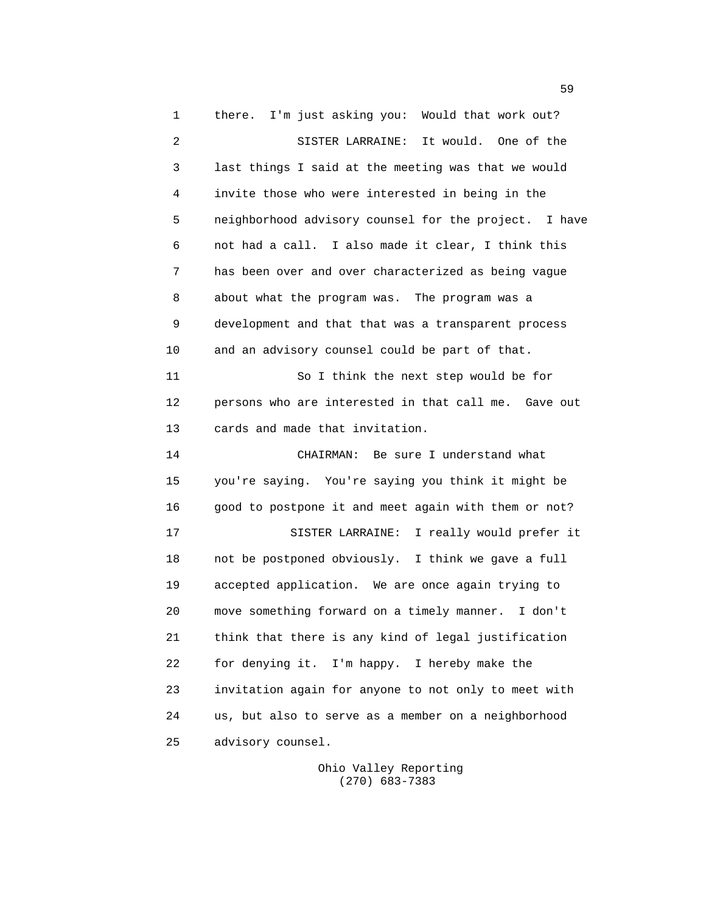1 there. I'm just asking you: Would that work out? 2 SISTER LARRAINE: It would. One of the 3 last things I said at the meeting was that we would 4 invite those who were interested in being in the 5 neighborhood advisory counsel for the project. I have 6 not had a call. I also made it clear, I think this 7 has been over and over characterized as being vague 8 about what the program was. The program was a 9 development and that that was a transparent process 10 and an advisory counsel could be part of that. 11 So I think the next step would be for 12 persons who are interested in that call me. Gave out 13 cards and made that invitation. 14 CHAIRMAN: Be sure I understand what 15 you're saying. You're saying you think it might be 16 good to postpone it and meet again with them or not? 17 SISTER LARRAINE: I really would prefer it 18 not be postponed obviously. I think we gave a full 19 accepted application. We are once again trying to 20 move something forward on a timely manner. I don't 21 think that there is any kind of legal justification 22 for denying it. I'm happy. I hereby make the 23 invitation again for anyone to not only to meet with 24 us, but also to serve as a member on a neighborhood 25 advisory counsel.

> Ohio Valley Reporting (270) 683-7383

 $\sim$  59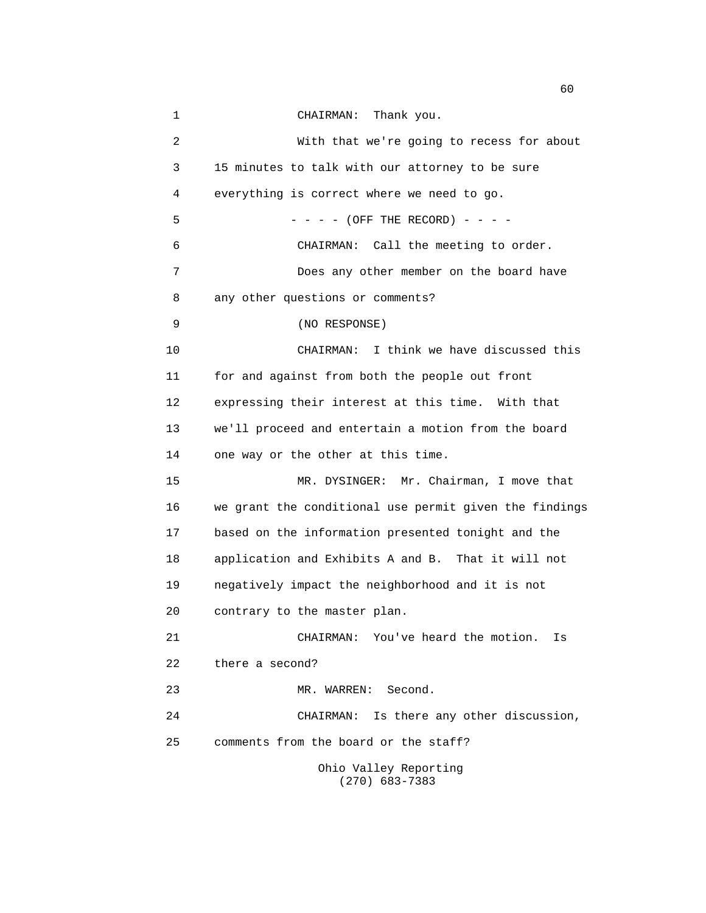| $\mathbf 1$    | Thank you.<br>CHAIRMAN:                                |
|----------------|--------------------------------------------------------|
| $\overline{2}$ | With that we're going to recess for about              |
| 3              | 15 minutes to talk with our attorney to be sure        |
| 4              | everything is correct where we need to go.             |
| 5              | $- - (OFF THE RECORD) - - -$                           |
| 6              | CHAIRMAN: Call the meeting to order.                   |
| 7              | Does any other member on the board have                |
| 8              | any other questions or comments?                       |
| 9              | (NO RESPONSE)                                          |
| 10             | I think we have discussed this<br>CHAIRMAN:            |
| 11             | for and against from both the people out front         |
| 12             | expressing their interest at this time. With that      |
| 13             | we'll proceed and entertain a motion from the board    |
| 14             | one way or the other at this time.                     |
| 15             | MR. DYSINGER: Mr. Chairman, I move that                |
| 16             | we grant the conditional use permit given the findings |
| 17             | based on the information presented tonight and the     |
| 18             | application and Exhibits A and B. That it will not     |
| 19             | negatively impact the neighborhood and it is not       |
| 20             | contrary to the master plan.                           |
| 21             | CHAIRMAN: You've heard the motion.<br>Is               |
| 22             | there a second?                                        |
| 23             | Second.<br>MR. WARREN:                                 |
| 24             | Is there any other discussion,<br>CHAIRMAN:            |
| 25             | comments from the board or the staff?                  |
|                | Ohio Valley Reporting<br>$(270)$ 683-7383              |

 $\sim$  60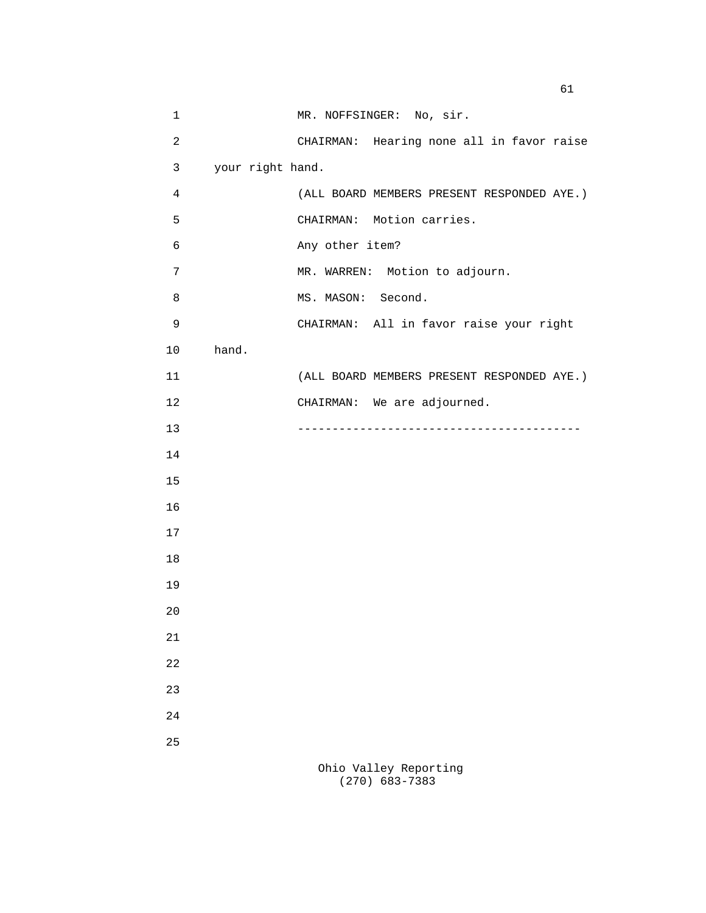| $\mathbf 1$    | MR. NOFFSINGER: No, sir.                   |
|----------------|--------------------------------------------|
| $\overline{c}$ | CHAIRMAN: Hearing none all in favor raise  |
| 3              | your right hand.                           |
| $\overline{4}$ | (ALL BOARD MEMBERS PRESENT RESPONDED AYE.) |
| 5              | CHAIRMAN: Motion carries.                  |
| 6              | Any other item?                            |
| 7              | MR. WARREN: Motion to adjourn.             |
| 8              | MS. MASON: Second.                         |
| $\mathsf 9$    | CHAIRMAN: All in favor raise your right    |
| 10             | hand.                                      |
| 11             | (ALL BOARD MEMBERS PRESENT RESPONDED AYE.) |
| 12             | CHAIRMAN: We are adjourned.                |
| 13             |                                            |
| 14             |                                            |
| 15             |                                            |
| 16             |                                            |
| 17             |                                            |
| 18             |                                            |
| 19             |                                            |
| 20             |                                            |
| 21             |                                            |
| 22             |                                            |
| 23             |                                            |
| 24             |                                            |
| 25             |                                            |
|                | Ohio Valley Reporting<br>$(270)$ 683-7383  |